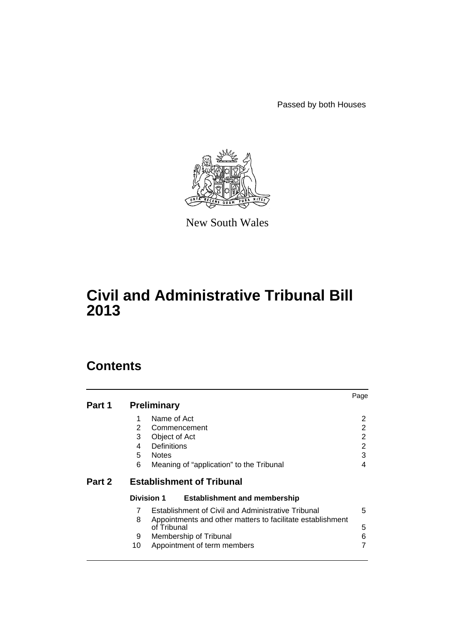Passed by both Houses



New South Wales

# **Civil and Administrative Tribunal Bill 2013**

# **Contents**

|        |                   |                                                                           | Page |
|--------|-------------------|---------------------------------------------------------------------------|------|
| Part 1 |                   | <b>Preliminary</b>                                                        |      |
|        | 1                 | Name of Act                                                               | 2    |
|        | $\overline{2}$    | Commencement                                                              | 2    |
|        | 3                 | Object of Act                                                             | 2    |
|        | 4                 | Definitions                                                               | 2    |
|        | 5.                | <b>Notes</b>                                                              | 3    |
|        | 6                 | Meaning of "application" to the Tribunal                                  | 4    |
| Part 2 |                   | <b>Establishment of Tribunal</b>                                          |      |
|        | <b>Division 1</b> | <b>Establishment and membership</b>                                       |      |
|        | 7                 | Establishment of Civil and Administrative Tribunal                        | 5    |
|        | 8                 | Appointments and other matters to facilitate establishment<br>of Tribunal | 5    |
|        | 9                 | Membership of Tribunal                                                    | 6    |
|        | 10                | Appointment of term members                                               |      |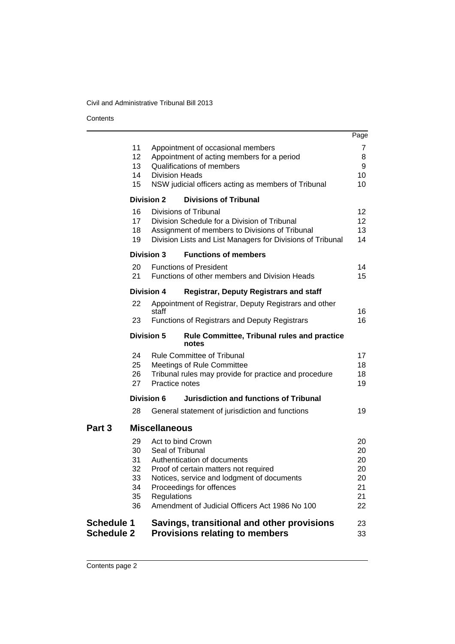**Contents** 

|                                        |                                              |                                                      |                                                                                                                                                                                                  | Page                                           |
|----------------------------------------|----------------------------------------------|------------------------------------------------------|--------------------------------------------------------------------------------------------------------------------------------------------------------------------------------------------------|------------------------------------------------|
|                                        | 11<br>12<br>13<br>14<br>15                   | <b>Division Heads</b>                                | Appointment of occasional members<br>Appointment of acting members for a period<br>Qualifications of members<br>NSW judicial officers acting as members of Tribunal                              | 7<br>8<br>9<br>10<br>10                        |
|                                        | <b>Division 2</b>                            |                                                      | <b>Divisions of Tribunal</b>                                                                                                                                                                     |                                                |
|                                        | 16<br>17<br>18<br>19                         |                                                      | Divisions of Tribunal<br>Division Schedule for a Division of Tribunal<br>Assignment of members to Divisions of Tribunal<br>Division Lists and List Managers for Divisions of Tribunal            | 12 <sup>2</sup><br>12 <sup>2</sup><br>13<br>14 |
|                                        | <b>Division 3</b>                            |                                                      | <b>Functions of members</b>                                                                                                                                                                      |                                                |
|                                        | 20<br>21                                     |                                                      | <b>Functions of President</b><br>Functions of other members and Division Heads                                                                                                                   | 14<br>15                                       |
|                                        | <b>Division 4</b>                            |                                                      | <b>Registrar, Deputy Registrars and staff</b>                                                                                                                                                    |                                                |
|                                        | 22                                           | staff                                                | Appointment of Registrar, Deputy Registrars and other                                                                                                                                            | 16                                             |
|                                        | 23                                           |                                                      | <b>Functions of Registrars and Deputy Registrars</b>                                                                                                                                             | 16                                             |
|                                        | <b>Division 5</b>                            |                                                      | <b>Rule Committee, Tribunal rules and practice</b><br>notes                                                                                                                                      |                                                |
|                                        | 24<br>25<br>26<br>27                         | Practice notes                                       | <b>Rule Committee of Tribunal</b><br><b>Meetings of Rule Committee</b><br>Tribunal rules may provide for practice and procedure                                                                  | 17<br>18<br>18<br>19                           |
|                                        | Division 6                                   |                                                      | <b>Jurisdiction and functions of Tribunal</b>                                                                                                                                                    |                                                |
|                                        | 28                                           |                                                      | General statement of jurisdiction and functions                                                                                                                                                  | 19                                             |
| Part <sub>3</sub>                      |                                              | <b>Miscellaneous</b>                                 |                                                                                                                                                                                                  |                                                |
|                                        | 29<br>30<br>31<br>32<br>33<br>34<br>35<br>36 | Act to bind Crown<br>Seal of Tribunal<br>Regulations | Authentication of documents<br>Proof of certain matters not required<br>Notices, service and lodgment of documents<br>Proceedings for offences<br>Amendment of Judicial Officers Act 1986 No 100 | 20<br>20<br>20<br>20<br>20<br>21<br>21<br>22   |
| <b>Schedule 1</b><br><b>Schedule 2</b> |                                              |                                                      | Savings, transitional and other provisions<br><b>Provisions relating to members</b>                                                                                                              | 23<br>33                                       |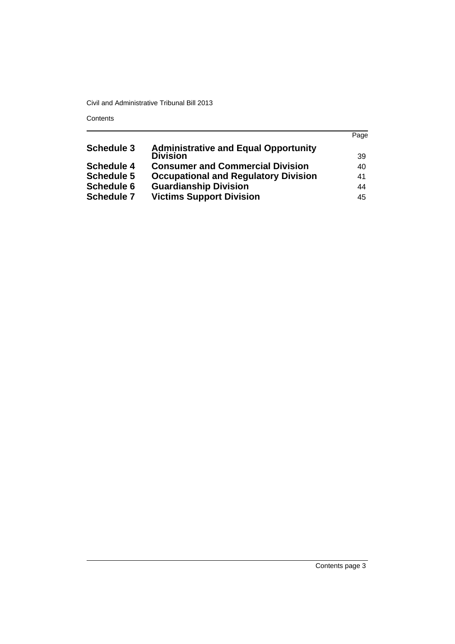**Contents** 

|                   |                                             | Page |
|-------------------|---------------------------------------------|------|
| <b>Schedule 3</b> | <b>Administrative and Equal Opportunity</b> |      |
|                   | <b>Division</b>                             | -39  |
| <b>Schedule 4</b> | <b>Consumer and Commercial Division</b>     | 40   |
| <b>Schedule 5</b> | <b>Occupational and Regulatory Division</b> | 41   |
| <b>Schedule 6</b> | <b>Guardianship Division</b>                | 44   |
| <b>Schedule 7</b> | <b>Victims Support Division</b>             | 45   |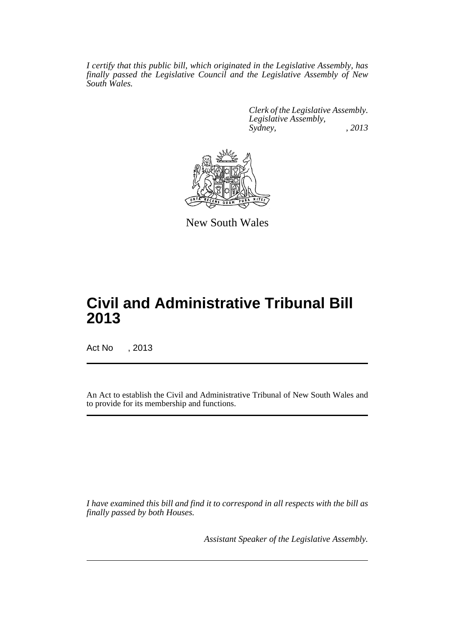*I certify that this public bill, which originated in the Legislative Assembly, has finally passed the Legislative Council and the Legislative Assembly of New South Wales.*

> *Clerk of the Legislative Assembly. Legislative Assembly, Sydney, , 2013*



New South Wales

# **Civil and Administrative Tribunal Bill 2013**

Act No , 2013

An Act to establish the Civil and Administrative Tribunal of New South Wales and to provide for its membership and functions.

*I have examined this bill and find it to correspond in all respects with the bill as finally passed by both Houses.*

*Assistant Speaker of the Legislative Assembly.*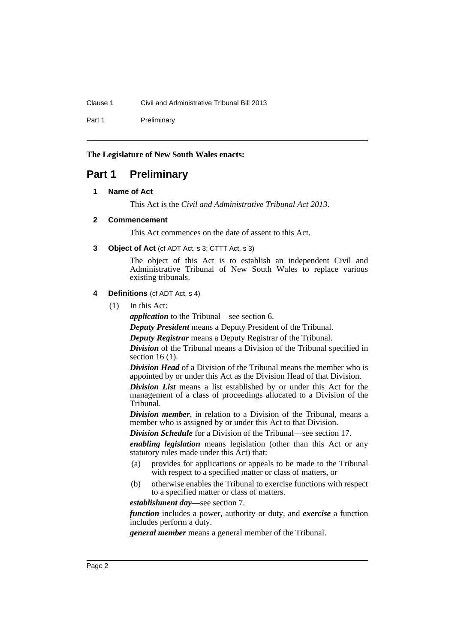Clause 1 Civil and Administrative Tribunal Bill 2013

Part 1 Preliminary

**The Legislature of New South Wales enacts:**

# <span id="page-5-1"></span><span id="page-5-0"></span>**Part 1 Preliminary**

## **1 Name of Act**

This Act is the *Civil and Administrative Tribunal Act 2013*.

## <span id="page-5-2"></span>**2 Commencement**

This Act commences on the date of assent to this Act.

<span id="page-5-3"></span>**3 Object of Act** (cf ADT Act, s 3; CTTT Act, s 3)

The object of this Act is to establish an independent Civil and Administrative Tribunal of New South Wales to replace various existing tribunals.

## <span id="page-5-4"></span>**4 Definitions** (cf ADT Act, s 4)

(1) In this Act:

*application* to the Tribunal—see section 6.

*Deputy President* means a Deputy President of the Tribunal.

*Deputy Registrar* means a Deputy Registrar of the Tribunal.

*Division* of the Tribunal means a Division of the Tribunal specified in section 16 (1).

*Division Head* of a Division of the Tribunal means the member who is appointed by or under this Act as the Division Head of that Division.

*Division List* means a list established by or under this Act for the management of a class of proceedings allocated to a Division of the Tribunal.

*Division member*, in relation to a Division of the Tribunal, means a member who is assigned by or under this Act to that Division.

*Division Schedule* for a Division of the Tribunal—see section 17.

*enabling legislation* means legislation (other than this Act or any statutory rules made under this Act) that:

- (a) provides for applications or appeals to be made to the Tribunal with respect to a specified matter or class of matters, or
- (b) otherwise enables the Tribunal to exercise functions with respect to a specified matter or class of matters.

*establishment day*—see section 7.

*function* includes a power, authority or duty, and *exercise* a function includes perform a duty.

*general member* means a general member of the Tribunal.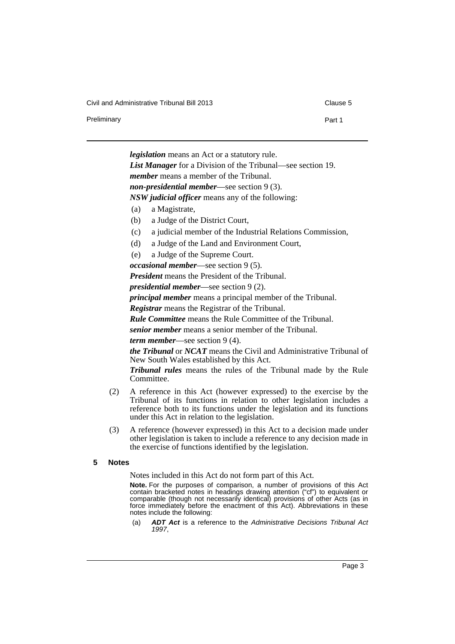Civil and Administrative Tribunal Bill 2013 Clause 5

Preliminary **Preliminary Part 1** 

*legislation* means an Act or a statutory rule.

*List Manager* for a Division of the Tribunal—see section 19. *member* means a member of the Tribunal.

*non-presidential member*—see section 9 (3).

*NSW judicial officer* means any of the following:

- (a) a Magistrate,
- (b) a Judge of the District Court,
- (c) a judicial member of the Industrial Relations Commission,
- (d) a Judge of the Land and Environment Court,
- (e) a Judge of the Supreme Court.
- *occasional member*—see section 9 (5).

*President* means the President of the Tribunal.

*presidential member*—see section 9 (2).

*principal member* means a principal member of the Tribunal.

*Registrar* means the Registrar of the Tribunal.

*Rule Committee* means the Rule Committee of the Tribunal.

*senior member* means a senior member of the Tribunal.

*term member*—see section 9 (4).

*the Tribunal* or *NCAT* means the Civil and Administrative Tribunal of New South Wales established by this Act.

*Tribunal rules* means the rules of the Tribunal made by the Rule Committee.

- (2) A reference in this Act (however expressed) to the exercise by the Tribunal of its functions in relation to other legislation includes a reference both to its functions under the legislation and its functions under this Act in relation to the legislation.
- (3) A reference (however expressed) in this Act to a decision made under other legislation is taken to include a reference to any decision made in the exercise of functions identified by the legislation.
- <span id="page-6-0"></span>**5 Notes**

Notes included in this Act do not form part of this Act.

**Note.** For the purposes of comparison, a number of provisions of this Act contain bracketed notes in headings drawing attention ("cf") to equivalent or comparable (though not necessarily identical) provisions of other Acts (as in force immediately before the enactment of this Act). Abbreviations in these notes include the following:

(a) *ADT Act* is a reference to the *Administrative Decisions Tribunal Act 1997*,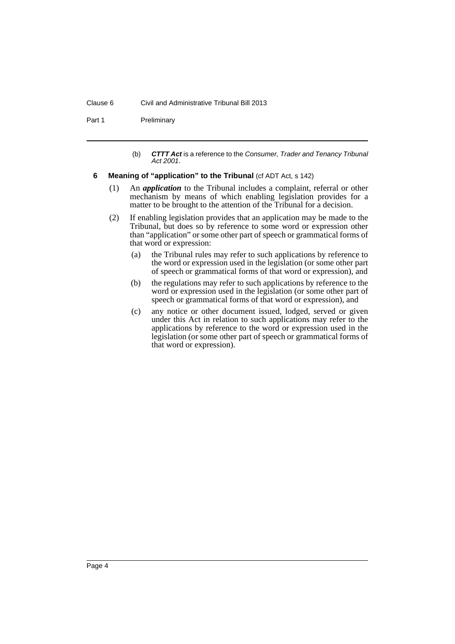#### Clause 6 Civil and Administrative Tribunal Bill 2013

Part 1 Preliminary

- (b) *CTTT Act* is a reference to the *Consumer, Trader and Tenancy Tribunal Act 2001*.
- <span id="page-7-0"></span>**6** Meaning of "application" to the Tribunal (cf ADT Act, s 142)
	- (1) An *application* to the Tribunal includes a complaint, referral or other mechanism by means of which enabling legislation provides for a matter to be brought to the attention of the Tribunal for a decision.
	- (2) If enabling legislation provides that an application may be made to the Tribunal, but does so by reference to some word or expression other than "application" or some other part of speech or grammatical forms of that word or expression:
		- (a) the Tribunal rules may refer to such applications by reference to the word or expression used in the legislation (or some other part of speech or grammatical forms of that word or expression), and
		- (b) the regulations may refer to such applications by reference to the word or expression used in the legislation (or some other part of speech or grammatical forms of that word or expression), and
		- (c) any notice or other document issued, lodged, served or given under this Act in relation to such applications may refer to the applications by reference to the word or expression used in the legislation (or some other part of speech or grammatical forms of that word or expression).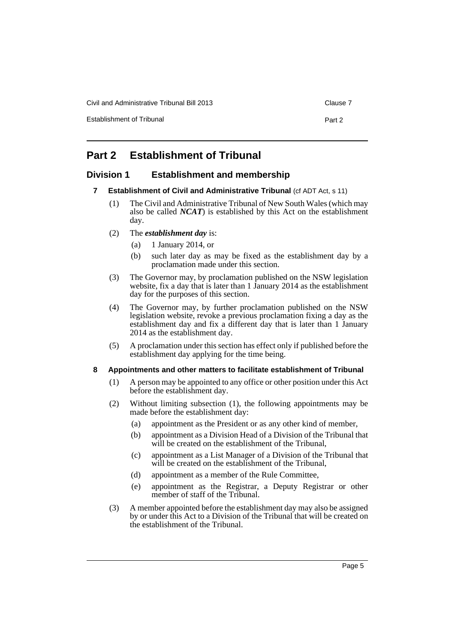Civil and Administrative Tribunal Bill 2013 Clause 7

Establishment of Tribunal **Part 2** Part 2

## <span id="page-8-0"></span>**Part 2 Establishment of Tribunal**

## <span id="page-8-2"></span><span id="page-8-1"></span>**Division 1 Establishment and membership**

- **7 Establishment of Civil and Administrative Tribunal** (cf ADT Act, s 11)
	- (1) The Civil and Administrative Tribunal of New South Wales (which may also be called *NCAT*) is established by this Act on the establishment day.
	- (2) The *establishment day* is:
		- (a) 1 January 2014, or
		- (b) such later day as may be fixed as the establishment day by a proclamation made under this section.
	- (3) The Governor may, by proclamation published on the NSW legislation website, fix a day that is later than 1 January 2014 as the establishment day for the purposes of this section.
	- (4) The Governor may, by further proclamation published on the NSW legislation website, revoke a previous proclamation fixing a day as the establishment day and fix a different day that is later than 1 January 2014 as the establishment day.
	- (5) A proclamation under this section has effect only if published before the establishment day applying for the time being.

## <span id="page-8-3"></span>**8 Appointments and other matters to facilitate establishment of Tribunal**

- (1) A person may be appointed to any office or other position under this Act before the establishment day.
- (2) Without limiting subsection (1), the following appointments may be made before the establishment day:
	- (a) appointment as the President or as any other kind of member,
	- (b) appointment as a Division Head of a Division of the Tribunal that will be created on the establishment of the Tribunal,
	- (c) appointment as a List Manager of a Division of the Tribunal that will be created on the establishment of the Tribunal,
	- (d) appointment as a member of the Rule Committee,
	- (e) appointment as the Registrar, a Deputy Registrar or other member of staff of the Tribunal.
- (3) A member appointed before the establishment day may also be assigned by or under this Act to a Division of the Tribunal that will be created on the establishment of the Tribunal.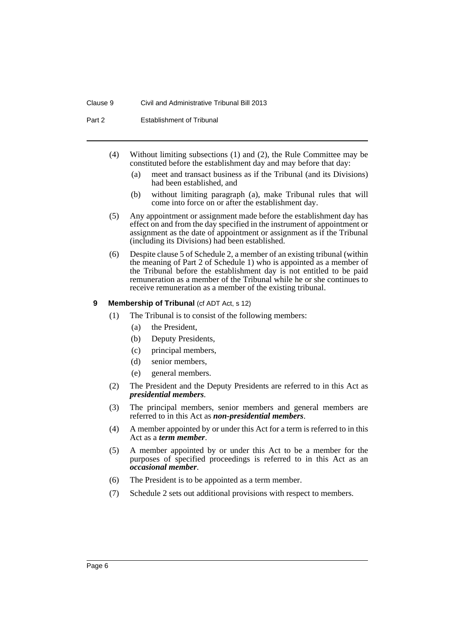#### Clause 9 Civil and Administrative Tribunal Bill 2013

Part 2 Establishment of Tribunal

- (4) Without limiting subsections (1) and (2), the Rule Committee may be constituted before the establishment day and may before that day:
	- (a) meet and transact business as if the Tribunal (and its Divisions) had been established, and
	- (b) without limiting paragraph (a), make Tribunal rules that will come into force on or after the establishment day.
- (5) Any appointment or assignment made before the establishment day has effect on and from the day specified in the instrument of appointment or assignment as the date of appointment or assignment as if the Tribunal (including its Divisions) had been established.
- (6) Despite clause 5 of Schedule 2, a member of an existing tribunal (within the meaning of Part 2 of Schedule 1) who is appointed as a member of the Tribunal before the establishment day is not entitled to be paid remuneration as a member of the Tribunal while he or she continues to receive remuneration as a member of the existing tribunal.

### <span id="page-9-0"></span>**9 Membership of Tribunal (cf ADT Act, s 12)**

- (1) The Tribunal is to consist of the following members:
	- (a) the President,
	- (b) Deputy Presidents,
	- (c) principal members,
	- (d) senior members,
	- (e) general members.
- (2) The President and the Deputy Presidents are referred to in this Act as *presidential members*.
- (3) The principal members, senior members and general members are referred to in this Act as *non-presidential members*.
- (4) A member appointed by or under this Act for a term is referred to in this Act as a *term member*.
- (5) A member appointed by or under this Act to be a member for the purposes of specified proceedings is referred to in this Act as an *occasional member*.
- (6) The President is to be appointed as a term member.
- (7) Schedule 2 sets out additional provisions with respect to members.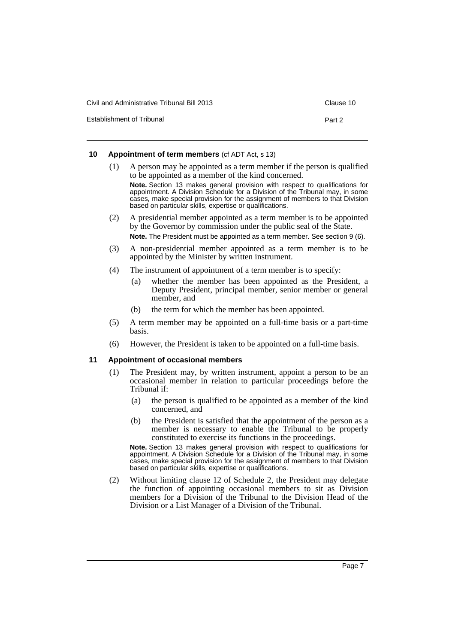| Civil and Administrative Tribunal Bill 2013 | Clause 10 |
|---------------------------------------------|-----------|
| Establishment of Tribunal                   | Part 2    |

## <span id="page-10-0"></span>**10 Appointment of term members** (cf ADT Act, s 13)

- (1) A person may be appointed as a term member if the person is qualified to be appointed as a member of the kind concerned. **Note.** Section 13 makes general provision with respect to qualifications for appointment. A Division Schedule for a Division of the Tribunal may, in some cases, make special provision for the assignment of members to that Division based on particular skills, expertise or qualifications. (2) A presidential member appointed as a term member is to be appointed
	- by the Governor by commission under the public seal of the State. **Note.** The President must be appointed as a term member. See section 9 (6).
	- (3) A non-presidential member appointed as a term member is to be appointed by the Minister by written instrument.
	- (4) The instrument of appointment of a term member is to specify:
		- (a) whether the member has been appointed as the President, a Deputy President, principal member, senior member or general member, and
		- (b) the term for which the member has been appointed.
	- (5) A term member may be appointed on a full-time basis or a part-time basis.
	- (6) However, the President is taken to be appointed on a full-time basis.

## <span id="page-10-1"></span>**11 Appointment of occasional members**

- (1) The President may, by written instrument, appoint a person to be an occasional member in relation to particular proceedings before the Tribunal if:
	- (a) the person is qualified to be appointed as a member of the kind concerned, and
	- (b) the President is satisfied that the appointment of the person as a member is necessary to enable the Tribunal to be properly constituted to exercise its functions in the proceedings.

**Note.** Section 13 makes general provision with respect to qualifications for appointment. A Division Schedule for a Division of the Tribunal may, in some cases, make special provision for the assignment of members to that Division based on particular skills, expertise or qualifications.

(2) Without limiting clause 12 of Schedule 2, the President may delegate the function of appointing occasional members to sit as Division members for a Division of the Tribunal to the Division Head of the Division or a List Manager of a Division of the Tribunal.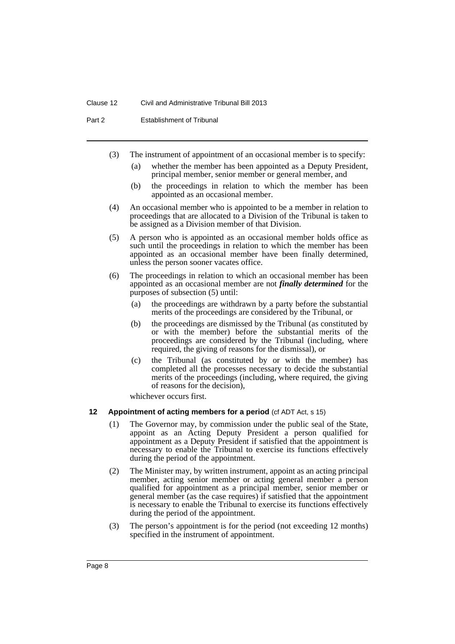Part 2 Establishment of Tribunal

- (3) The instrument of appointment of an occasional member is to specify:
	- (a) whether the member has been appointed as a Deputy President, principal member, senior member or general member, and
	- (b) the proceedings in relation to which the member has been appointed as an occasional member.
- (4) An occasional member who is appointed to be a member in relation to proceedings that are allocated to a Division of the Tribunal is taken to be assigned as a Division member of that Division.
- (5) A person who is appointed as an occasional member holds office as such until the proceedings in relation to which the member has been appointed as an occasional member have been finally determined, unless the person sooner vacates office.
- (6) The proceedings in relation to which an occasional member has been appointed as an occasional member are not *finally determined* for the purposes of subsection (5) until:
	- (a) the proceedings are withdrawn by a party before the substantial merits of the proceedings are considered by the Tribunal, or
	- (b) the proceedings are dismissed by the Tribunal (as constituted by or with the member) before the substantial merits of the proceedings are considered by the Tribunal (including, where required, the giving of reasons for the dismissal), or
	- (c) the Tribunal (as constituted by or with the member) has completed all the processes necessary to decide the substantial merits of the proceedings (including, where required, the giving of reasons for the decision),

whichever occurs first.

#### <span id="page-11-0"></span>**12 Appointment of acting members for a period** (cf ADT Act, s 15)

- (1) The Governor may, by commission under the public seal of the State, appoint as an Acting Deputy President a person qualified for appointment as a Deputy President if satisfied that the appointment is necessary to enable the Tribunal to exercise its functions effectively during the period of the appointment.
- (2) The Minister may, by written instrument, appoint as an acting principal member, acting senior member or acting general member a person qualified for appointment as a principal member, senior member or general member (as the case requires) if satisfied that the appointment is necessary to enable the Tribunal to exercise its functions effectively during the period of the appointment.
- (3) The person's appointment is for the period (not exceeding 12 months) specified in the instrument of appointment.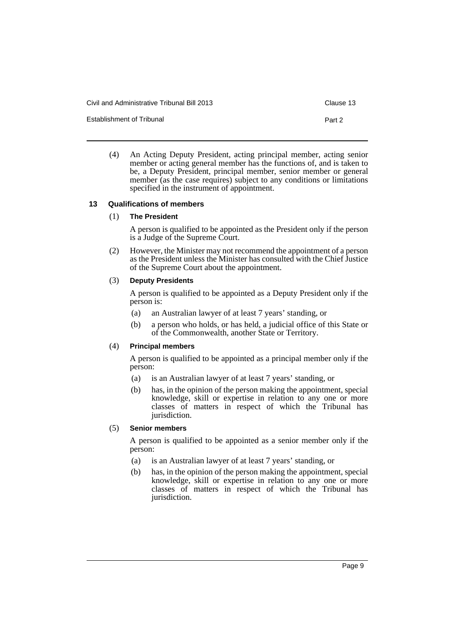Civil and Administrative Tribunal Bill 2013 Clause 13

Establishment of Tribunal **Part 2** Part 2

(4) An Acting Deputy President, acting principal member, acting senior member or acting general member has the functions of, and is taken to be, a Deputy President, principal member, senior member or general member (as the case requires) subject to any conditions or limitations specified in the instrument of appointment.

## <span id="page-12-0"></span>**13 Qualifications of members**

## (1) **The President**

A person is qualified to be appointed as the President only if the person is a Judge of the Supreme Court.

(2) However, the Minister may not recommend the appointment of a person as the President unless the Minister has consulted with the Chief Justice of the Supreme Court about the appointment.

## (3) **Deputy Presidents**

A person is qualified to be appointed as a Deputy President only if the person is:

- (a) an Australian lawyer of at least 7 years' standing, or
- (b) a person who holds, or has held, a judicial office of this State or of the Commonwealth, another State or Territory.

## (4) **Principal members**

A person is qualified to be appointed as a principal member only if the person:

- (a) is an Australian lawyer of at least 7 years' standing, or
- (b) has, in the opinion of the person making the appointment, special knowledge, skill or expertise in relation to any one or more classes of matters in respect of which the Tribunal has jurisdiction.

## (5) **Senior members**

A person is qualified to be appointed as a senior member only if the person:

- (a) is an Australian lawyer of at least 7 years' standing, or
- (b) has, in the opinion of the person making the appointment, special knowledge, skill or expertise in relation to any one or more classes of matters in respect of which the Tribunal has jurisdiction.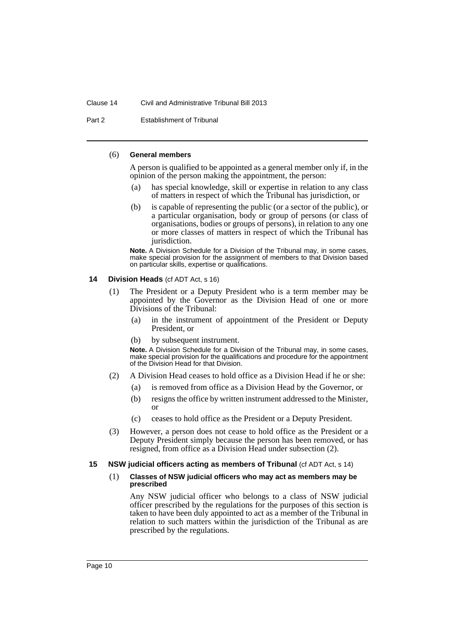#### Clause 14 Civil and Administrative Tribunal Bill 2013

Part 2 Establishment of Tribunal

### (6) **General members**

A person is qualified to be appointed as a general member only if, in the opinion of the person making the appointment, the person:

- (a) has special knowledge, skill or expertise in relation to any class of matters in respect of which the Tribunal has jurisdiction, or
- (b) is capable of representing the public (or a sector of the public), or a particular organisation, body or group of persons (or class of organisations, bodies or groups of persons), in relation to any one or more classes of matters in respect of which the Tribunal has jurisdiction.

**Note.** A Division Schedule for a Division of the Tribunal may, in some cases, make special provision for the assignment of members to that Division based on particular skills, expertise or qualifications.

## <span id="page-13-0"></span>**14 Division Heads** (cf ADT Act, s 16)

- (1) The President or a Deputy President who is a term member may be appointed by the Governor as the Division Head of one or more Divisions of the Tribunal:
	- (a) in the instrument of appointment of the President or Deputy President, or
	- (b) by subsequent instrument.

**Note.** A Division Schedule for a Division of the Tribunal may, in some cases, make special provision for the qualifications and procedure for the appointment of the Division Head for that Division.

- (2) A Division Head ceases to hold office as a Division Head if he or she:
	- (a) is removed from office as a Division Head by the Governor, or
	- (b) resigns the office by written instrument addressed to the Minister, or
	- (c) ceases to hold office as the President or a Deputy President.
- (3) However, a person does not cease to hold office as the President or a Deputy President simply because the person has been removed, or has resigned, from office as a Division Head under subsection (2).

## <span id="page-13-1"></span>**15 NSW judicial officers acting as members of Tribunal** (cf ADT Act, s 14)

#### (1) **Classes of NSW judicial officers who may act as members may be prescribed**

Any NSW judicial officer who belongs to a class of NSW judicial officer prescribed by the regulations for the purposes of this section is taken to have been duly appointed to act as a member of the Tribunal in relation to such matters within the jurisdiction of the Tribunal as are prescribed by the regulations.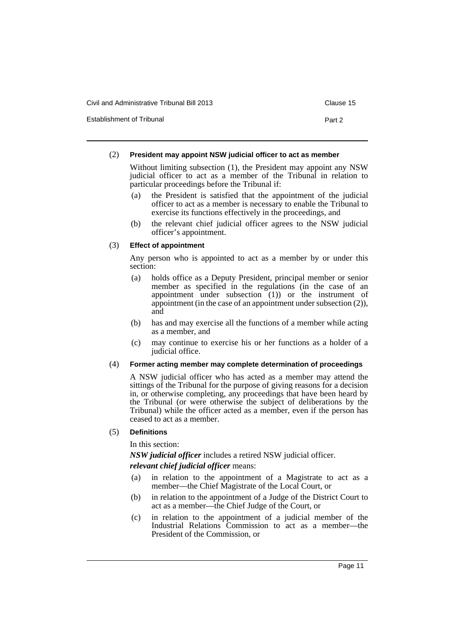Civil and Administrative Tribunal Bill 2013 Clause 15

Establishment of Tribunal **Part 2** Part 2

### (2) **President may appoint NSW judicial officer to act as member**

Without limiting subsection (1), the President may appoint any NSW judicial officer to act as a member of the Tribunal in relation to particular proceedings before the Tribunal if:

- (a) the President is satisfied that the appointment of the judicial officer to act as a member is necessary to enable the Tribunal to exercise its functions effectively in the proceedings, and
- (b) the relevant chief judicial officer agrees to the NSW judicial officer's appointment.

## (3) **Effect of appointment**

Any person who is appointed to act as a member by or under this section:

- (a) holds office as a Deputy President, principal member or senior member as specified in the regulations (in the case of an appointment under subsection  $(1)$  or the instrument of appointment (in the case of an appointment under subsection (2)), and
- (b) has and may exercise all the functions of a member while acting as a member, and
- (c) may continue to exercise his or her functions as a holder of a judicial office.

## (4) **Former acting member may complete determination of proceedings**

A NSW judicial officer who has acted as a member may attend the sittings of the Tribunal for the purpose of giving reasons for a decision in, or otherwise completing, any proceedings that have been heard by the Tribunal (or were otherwise the subject of deliberations by the Tribunal) while the officer acted as a member, even if the person has ceased to act as a member.

## (5) **Definitions**

In this section:

*NSW judicial officer* includes a retired NSW judicial officer. *relevant chief judicial officer* means:

- (a) in relation to the appointment of a Magistrate to act as a member—the Chief Magistrate of the Local Court, or
- (b) in relation to the appointment of a Judge of the District Court to act as a member—the Chief Judge of the Court, or
- (c) in relation to the appointment of a judicial member of the Industrial Relations Commission to act as a member—the President of the Commission, or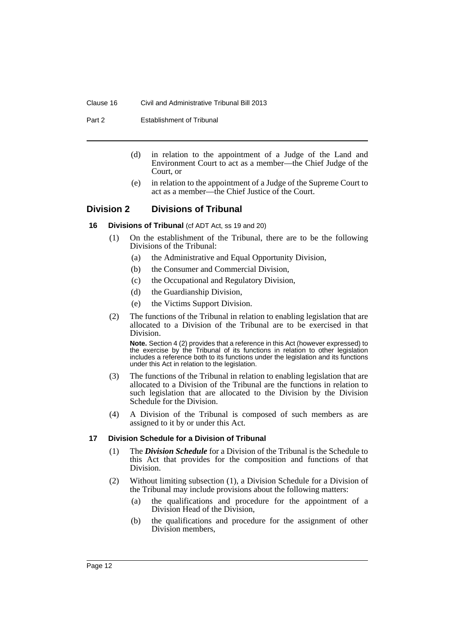#### Clause 16 Civil and Administrative Tribunal Bill 2013

Part 2 Establishment of Tribunal

- (d) in relation to the appointment of a Judge of the Land and Environment Court to act as a member—the Chief Judge of the Court, or
- (e) in relation to the appointment of a Judge of the Supreme Court to act as a member—the Chief Justice of the Court.

## <span id="page-15-1"></span><span id="page-15-0"></span>**Division 2 Divisions of Tribunal**

## **16 Divisions of Tribunal (cf ADT Act, ss 19 and 20)**

- (1) On the establishment of the Tribunal, there are to be the following Divisions of the Tribunal:
	- (a) the Administrative and Equal Opportunity Division,
	- (b) the Consumer and Commercial Division,
	- (c) the Occupational and Regulatory Division,
	- (d) the Guardianship Division,
	- (e) the Victims Support Division.
- (2) The functions of the Tribunal in relation to enabling legislation that are allocated to a Division of the Tribunal are to be exercised in that Division.

**Note.** Section 4 (2) provides that a reference in this Act (however expressed) to the exercise by the Tribunal of its functions in relation to other legislation includes a reference both to its functions under the legislation and its functions under this Act in relation to the legislation.

- (3) The functions of the Tribunal in relation to enabling legislation that are allocated to a Division of the Tribunal are the functions in relation to such legislation that are allocated to the Division by the Division Schedule for the Division.
- (4) A Division of the Tribunal is composed of such members as are assigned to it by or under this Act.

## <span id="page-15-2"></span>**17 Division Schedule for a Division of Tribunal**

- (1) The *Division Schedule* for a Division of the Tribunal is the Schedule to this Act that provides for the composition and functions of that Division.
- (2) Without limiting subsection (1), a Division Schedule for a Division of the Tribunal may include provisions about the following matters:
	- (a) the qualifications and procedure for the appointment of a Division Head of the Division,
	- (b) the qualifications and procedure for the assignment of other Division members,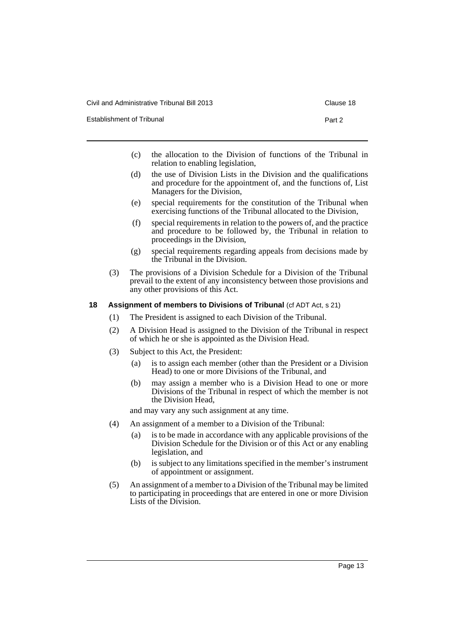Civil and Administrative Tribunal Bill 2013 Clause 18

Establishment of Tribunal **Part 2** Part 2

- 
- (c) the allocation to the Division of functions of the Tribunal in relation to enabling legislation,
- (d) the use of Division Lists in the Division and the qualifications and procedure for the appointment of, and the functions of, List Managers for the Division,
- (e) special requirements for the constitution of the Tribunal when exercising functions of the Tribunal allocated to the Division,
- (f) special requirements in relation to the powers of, and the practice and procedure to be followed by, the Tribunal in relation to proceedings in the Division,
- (g) special requirements regarding appeals from decisions made by the Tribunal in the Division.
- (3) The provisions of a Division Schedule for a Division of the Tribunal prevail to the extent of any inconsistency between those provisions and any other provisions of this Act.

## <span id="page-16-0"></span>**18 Assignment of members to Divisions of Tribunal (cf ADT Act, s 21)**

- (1) The President is assigned to each Division of the Tribunal.
- (2) A Division Head is assigned to the Division of the Tribunal in respect of which he or she is appointed as the Division Head.
- (3) Subject to this Act, the President:
	- (a) is to assign each member (other than the President or a Division Head) to one or more Divisions of the Tribunal, and
	- (b) may assign a member who is a Division Head to one or more Divisions of the Tribunal in respect of which the member is not the Division Head,

and may vary any such assignment at any time.

- (4) An assignment of a member to a Division of the Tribunal:
	- (a) is to be made in accordance with any applicable provisions of the Division Schedule for the Division or of this Act or any enabling legislation, and
	- (b) is subject to any limitations specified in the member's instrument of appointment or assignment.
- (5) An assignment of a member to a Division of the Tribunal may be limited to participating in proceedings that are entered in one or more Division Lists of the Division.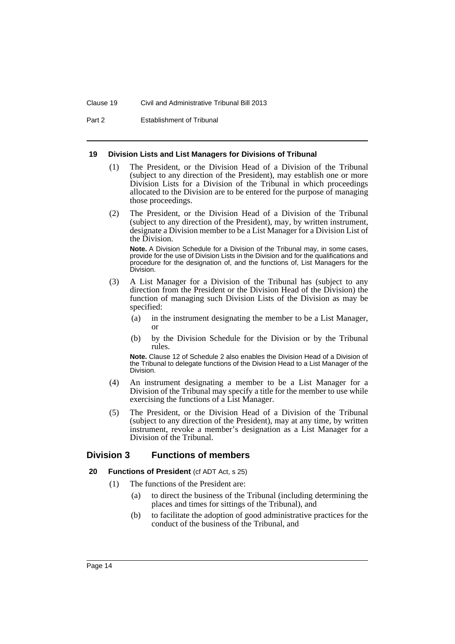#### Clause 19 Civil and Administrative Tribunal Bill 2013

Part 2 Establishment of Tribunal

#### <span id="page-17-0"></span>**19 Division Lists and List Managers for Divisions of Tribunal**

- (1) The President, or the Division Head of a Division of the Tribunal (subject to any direction of the President), may establish one or more Division Lists for a Division of the Tribunal in which proceedings allocated to the Division are to be entered for the purpose of managing those proceedings.
- (2) The President, or the Division Head of a Division of the Tribunal (subject to any direction of the President), may, by written instrument, designate a Division member to be a List Manager for a Division List of the Division.

**Note.** A Division Schedule for a Division of the Tribunal may, in some cases, provide for the use of Division Lists in the Division and for the qualifications and procedure for the designation of, and the functions of, List Managers for the Division.

- (3) A List Manager for a Division of the Tribunal has (subject to any direction from the President or the Division Head of the Division) the function of managing such Division Lists of the Division as may be specified:
	- (a) in the instrument designating the member to be a List Manager, or
	- (b) by the Division Schedule for the Division or by the Tribunal rules.

**Note.** Clause 12 of Schedule 2 also enables the Division Head of a Division of the Tribunal to delegate functions of the Division Head to a List Manager of the Division.

- (4) An instrument designating a member to be a List Manager for a Division of the Tribunal may specify a title for the member to use while exercising the functions of a List Manager.
- (5) The President, or the Division Head of a Division of the Tribunal (subject to any direction of the President), may at any time, by written instrument, revoke a member's designation as a List Manager for a Division of the Tribunal.

## <span id="page-17-1"></span>**Division 3 Functions of members**

- <span id="page-17-2"></span>**20 Functions of President (cf ADT Act, s 25)** 
	- (1) The functions of the President are:
		- (a) to direct the business of the Tribunal (including determining the places and times for sittings of the Tribunal), and
		- (b) to facilitate the adoption of good administrative practices for the conduct of the business of the Tribunal, and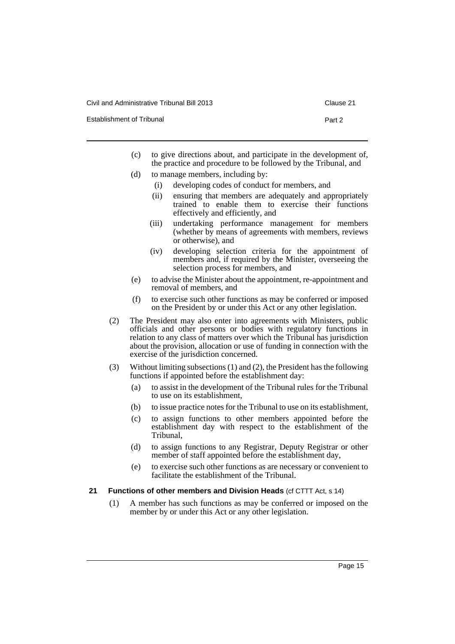Civil and Administrative Tribunal Bill 2013 Clause 21

Establishment of Tribunal **Part 2** Part 2

- 
- (c) to give directions about, and participate in the development of, the practice and procedure to be followed by the Tribunal, and
- (d) to manage members, including by:
	- (i) developing codes of conduct for members, and
	- (ii) ensuring that members are adequately and appropriately trained to enable them to exercise their functions effectively and efficiently, and
	- (iii) undertaking performance management for members (whether by means of agreements with members, reviews or otherwise), and
	- (iv) developing selection criteria for the appointment of members and, if required by the Minister, overseeing the selection process for members, and
- (e) to advise the Minister about the appointment, re-appointment and removal of members, and
- (f) to exercise such other functions as may be conferred or imposed on the President by or under this Act or any other legislation.
- (2) The President may also enter into agreements with Ministers, public officials and other persons or bodies with regulatory functions in relation to any class of matters over which the Tribunal has jurisdiction about the provision, allocation or use of funding in connection with the exercise of the jurisdiction concerned.
- (3) Without limiting subsections (1) and (2), the President has the following functions if appointed before the establishment day:
	- (a) to assist in the development of the Tribunal rules for the Tribunal to use on its establishment,
	- (b) to issue practice notes for the Tribunal to use on its establishment,
	- (c) to assign functions to other members appointed before the establishment day with respect to the establishment of the Tribunal,
	- (d) to assign functions to any Registrar, Deputy Registrar or other member of staff appointed before the establishment day,
	- (e) to exercise such other functions as are necessary or convenient to facilitate the establishment of the Tribunal.

### <span id="page-18-0"></span>**21 Functions of other members and Division Heads** (cf CTTT Act, s 14)

(1) A member has such functions as may be conferred or imposed on the member by or under this Act or any other legislation.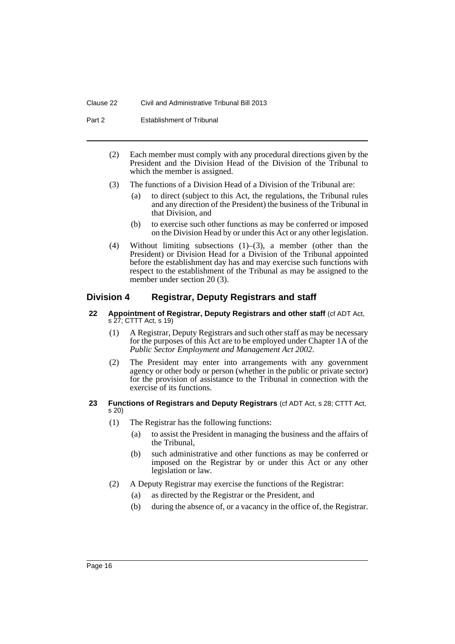Part 2 Establishment of Tribunal

- (2) Each member must comply with any procedural directions given by the President and the Division Head of the Division of the Tribunal to which the member is assigned.
- (3) The functions of a Division Head of a Division of the Tribunal are:
	- (a) to direct (subject to this Act, the regulations, the Tribunal rules and any direction of the President) the business of the Tribunal in that Division, and
	- (b) to exercise such other functions as may be conferred or imposed on the Division Head by or under this Act or any other legislation.
- (4) Without limiting subsections (1)–(3), a member (other than the President) or Division Head for a Division of the Tribunal appointed before the establishment day has and may exercise such functions with respect to the establishment of the Tribunal as may be assigned to the member under section 20 (3).

## <span id="page-19-0"></span>**Division 4 Registrar, Deputy Registrars and staff**

- <span id="page-19-1"></span>**22 Appointment of Registrar, Deputy Registrars and other staff** (cf ADT Act, s 27; CTTT Act, s 19)
	- (1) A Registrar, Deputy Registrars and such other staff as may be necessary for the purposes of this Act are to be employed under Chapter 1A of the *Public Sector Employment and Management Act 2002*.
	- (2) The President may enter into arrangements with any government agency or other body or person (whether in the public or private sector) for the provision of assistance to the Tribunal in connection with the exercise of its functions.
- <span id="page-19-2"></span>**23 Functions of Registrars and Deputy Registrars** (cf ADT Act, s 28; CTTT Act, s 20)
	- (1) The Registrar has the following functions:
		- (a) to assist the President in managing the business and the affairs of the Tribunal,
		- (b) such administrative and other functions as may be conferred or imposed on the Registrar by or under this Act or any other legislation or law.
	- (2) A Deputy Registrar may exercise the functions of the Registrar:
		- (a) as directed by the Registrar or the President, and
		- (b) during the absence of, or a vacancy in the office of, the Registrar.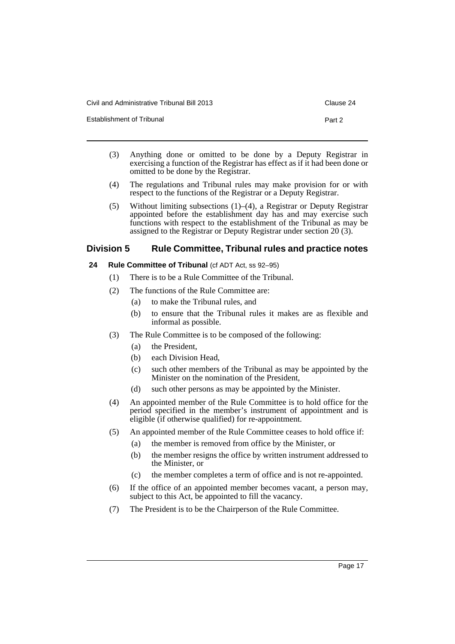| Civil and Administrative Tribunal Bill 2013 | Clause 24 |
|---------------------------------------------|-----------|
| <b>Establishment of Tribunal</b>            | Part 2    |

- (3) Anything done or omitted to be done by a Deputy Registrar in exercising a function of the Registrar has effect as if it had been done or omitted to be done by the Registrar.
- (4) The regulations and Tribunal rules may make provision for or with respect to the functions of the Registrar or a Deputy Registrar.
- (5) Without limiting subsections (1)–(4), a Registrar or Deputy Registrar appointed before the establishment day has and may exercise such functions with respect to the establishment of the Tribunal as may be assigned to the Registrar or Deputy Registrar under section 20 (3).

## <span id="page-20-0"></span>**Division 5 Rule Committee, Tribunal rules and practice notes**

## <span id="page-20-1"></span>**24 Rule Committee of Tribunal** (cf ADT Act, ss 92–95)

- (1) There is to be a Rule Committee of the Tribunal.
- (2) The functions of the Rule Committee are:
	- (a) to make the Tribunal rules, and
	- (b) to ensure that the Tribunal rules it makes are as flexible and informal as possible.
- (3) The Rule Committee is to be composed of the following:
	- (a) the President,
	- (b) each Division Head,
	- (c) such other members of the Tribunal as may be appointed by the Minister on the nomination of the President,
	- (d) such other persons as may be appointed by the Minister.
- (4) An appointed member of the Rule Committee is to hold office for the period specified in the member's instrument of appointment and is eligible (if otherwise qualified) for re-appointment.
- (5) An appointed member of the Rule Committee ceases to hold office if:
	- (a) the member is removed from office by the Minister, or
	- (b) the member resigns the office by written instrument addressed to the Minister, or
	- (c) the member completes a term of office and is not re-appointed.
- (6) If the office of an appointed member becomes vacant, a person may, subject to this Act, be appointed to fill the vacancy.
- (7) The President is to be the Chairperson of the Rule Committee.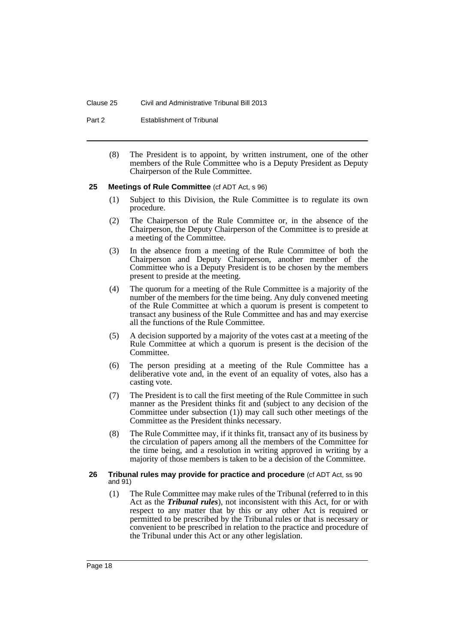#### Clause 25 Civil and Administrative Tribunal Bill 2013

Part 2 Establishment of Tribunal

(8) The President is to appoint, by written instrument, one of the other members of the Rule Committee who is a Deputy President as Deputy Chairperson of the Rule Committee.

#### <span id="page-21-0"></span>**25 Meetings of Rule Committee** (cf ADT Act, s 96)

- (1) Subject to this Division, the Rule Committee is to regulate its own procedure.
- (2) The Chairperson of the Rule Committee or, in the absence of the Chairperson, the Deputy Chairperson of the Committee is to preside at a meeting of the Committee.
- (3) In the absence from a meeting of the Rule Committee of both the Chairperson and Deputy Chairperson, another member of the Committee who is a Deputy President is to be chosen by the members present to preside at the meeting.
- (4) The quorum for a meeting of the Rule Committee is a majority of the number of the members for the time being. Any duly convened meeting of the Rule Committee at which a quorum is present is competent to transact any business of the Rule Committee and has and may exercise all the functions of the Rule Committee.
- (5) A decision supported by a majority of the votes cast at a meeting of the Rule Committee at which a quorum is present is the decision of the Committee.
- (6) The person presiding at a meeting of the Rule Committee has a deliberative vote and, in the event of an equality of votes, also has a casting vote.
- (7) The President is to call the first meeting of the Rule Committee in such manner as the President thinks fit and (subject to any decision of the Committee under subsection (1)) may call such other meetings of the Committee as the President thinks necessary.
- (8) The Rule Committee may, if it thinks fit, transact any of its business by the circulation of papers among all the members of the Committee for the time being, and a resolution in writing approved in writing by a majority of those members is taken to be a decision of the Committee.

#### <span id="page-21-1"></span>**26 Tribunal rules may provide for practice and procedure** (cf ADT Act, ss 90 and 91)

(1) The Rule Committee may make rules of the Tribunal (referred to in this Act as the *Tribunal rules*), not inconsistent with this Act, for or with respect to any matter that by this or any other Act is required or permitted to be prescribed by the Tribunal rules or that is necessary or convenient to be prescribed in relation to the practice and procedure of the Tribunal under this Act or any other legislation.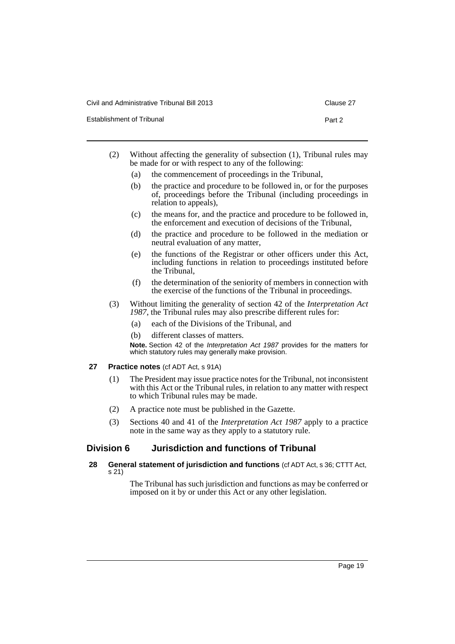| Civil and Administrative Tribunal Bill 2013 | Clause 27 |
|---------------------------------------------|-----------|
| <b>Establishment of Tribunal</b>            | Part 2    |

|  |  | Clause 2" |
|--|--|-----------|
|  |  |           |

| Without affecting the generality of subsection (1), Tribunal rules may<br>be made for or with respect to any of the following: |
|--------------------------------------------------------------------------------------------------------------------------------|

- (a) the commencement of proceedings in the Tribunal,
- (b) the practice and procedure to be followed in, or for the purposes of, proceedings before the Tribunal (including proceedings in relation to appeals),
- (c) the means for, and the practice and procedure to be followed in, the enforcement and execution of decisions of the Tribunal,
- (d) the practice and procedure to be followed in the mediation or neutral evaluation of any matter,
- (e) the functions of the Registrar or other officers under this Act, including functions in relation to proceedings instituted before the Tribunal,
- (f) the determination of the seniority of members in connection with the exercise of the functions of the Tribunal in proceedings.
- (3) Without limiting the generality of section 42 of the *Interpretation Act 1987*, the Tribunal rules may also prescribe different rules for:
	- (a) each of the Divisions of the Tribunal, and
	- (b) different classes of matters.
	- **Note.** Section 42 of the *Interpretation Act 1987* provides for the matters for which statutory rules may generally make provision.
- <span id="page-22-0"></span>**27 Practice notes** (cf ADT Act, s 91A)
	- (1) The President may issue practice notes for the Tribunal, not inconsistent with this Act or the Tribunal rules, in relation to any matter with respect to which Tribunal rules may be made.
	- (2) A practice note must be published in the Gazette.
	- (3) Sections 40 and 41 of the *Interpretation Act 1987* apply to a practice note in the same way as they apply to a statutory rule.

## <span id="page-22-1"></span>**Division 6 Jurisdiction and functions of Tribunal**

## <span id="page-22-2"></span>**28 General statement of jurisdiction and functions** (cf ADT Act, s 36; CTTT Act, s 21)

The Tribunal has such jurisdiction and functions as may be conferred or imposed on it by or under this Act or any other legislation.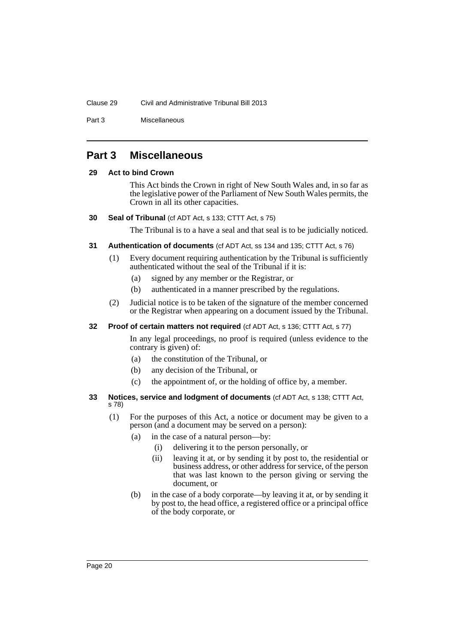## Clause 29 Civil and Administrative Tribunal Bill 2013

Part 3 Miscellaneous

## <span id="page-23-0"></span>**Part 3 Miscellaneous**

## <span id="page-23-1"></span>**29 Act to bind Crown**

This Act binds the Crown in right of New South Wales and, in so far as the legislative power of the Parliament of New South Wales permits, the Crown in all its other capacities.

## <span id="page-23-2"></span>**30 Seal of Tribunal** (cf ADT Act, s 133; CTTT Act, s 75)

The Tribunal is to a have a seal and that seal is to be judicially noticed.

## <span id="page-23-3"></span>**31 Authentication of documents** (cf ADT Act, ss 134 and 135; CTTT Act, s 76)

- (1) Every document requiring authentication by the Tribunal is sufficiently authenticated without the seal of the Tribunal if it is:
	- (a) signed by any member or the Registrar, or
	- (b) authenticated in a manner prescribed by the regulations.
- (2) Judicial notice is to be taken of the signature of the member concerned or the Registrar when appearing on a document issued by the Tribunal.

## <span id="page-23-4"></span>**32 Proof of certain matters not required** (cf ADT Act, s 136; CTTT Act, s 77)

In any legal proceedings, no proof is required (unless evidence to the contrary is given) of:

- (a) the constitution of the Tribunal, or
- (b) any decision of the Tribunal, or
- (c) the appointment of, or the holding of office by, a member.

## <span id="page-23-5"></span>**33 Notices, service and lodgment of documents** (cf ADT Act, s 138; CTTT Act, s 78)

- (1) For the purposes of this Act, a notice or document may be given to a person (and a document may be served on a person):
	- (a) in the case of a natural person—by:
		- (i) delivering it to the person personally, or
		- (ii) leaving it at, or by sending it by post to, the residential or business address, or other address for service, of the person that was last known to the person giving or serving the document, or
	- (b) in the case of a body corporate—by leaving it at, or by sending it by post to, the head office, a registered office or a principal office of the body corporate, or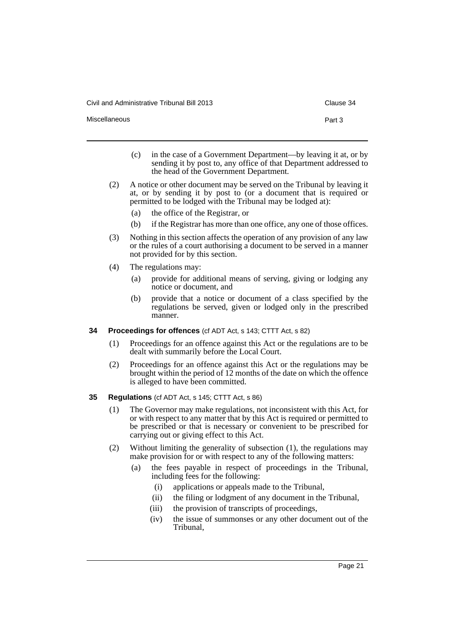Civil and Administrative Tribunal Bill 2013 Clause 34

Miscellaneous **Part 3** 

- 
- (c) in the case of a Government Department—by leaving it at, or by sending it by post to, any office of that Department addressed to the head of the Government Department.
- (2) A notice or other document may be served on the Tribunal by leaving it at, or by sending it by post to (or a document that is required or permitted to be lodged with the Tribunal may be lodged at):
	- (a) the office of the Registrar, or
	- (b) if the Registrar has more than one office, any one of those offices.
- (3) Nothing in this section affects the operation of any provision of any law or the rules of a court authorising a document to be served in a manner not provided for by this section.
- (4) The regulations may:
	- (a) provide for additional means of serving, giving or lodging any notice or document, and
	- (b) provide that a notice or document of a class specified by the regulations be served, given or lodged only in the prescribed manner.
- <span id="page-24-0"></span>**34 Proceedings for offences** (cf ADT Act, s 143; CTTT Act, s 82)
	- (1) Proceedings for an offence against this Act or the regulations are to be dealt with summarily before the Local Court.
	- (2) Proceedings for an offence against this Act or the regulations may be brought within the period of 12 months of the date on which the offence is alleged to have been committed.
- <span id="page-24-1"></span>**35 Regulations** (cf ADT Act, s 145; CTTT Act, s 86)
	- (1) The Governor may make regulations, not inconsistent with this Act, for or with respect to any matter that by this Act is required or permitted to be prescribed or that is necessary or convenient to be prescribed for carrying out or giving effect to this Act.
	- (2) Without limiting the generality of subsection (1), the regulations may make provision for or with respect to any of the following matters:
		- (a) the fees payable in respect of proceedings in the Tribunal, including fees for the following:
			- (i) applications or appeals made to the Tribunal,
			- (ii) the filing or lodgment of any document in the Tribunal,
			- (iii) the provision of transcripts of proceedings,
			- (iv) the issue of summonses or any other document out of the Tribunal,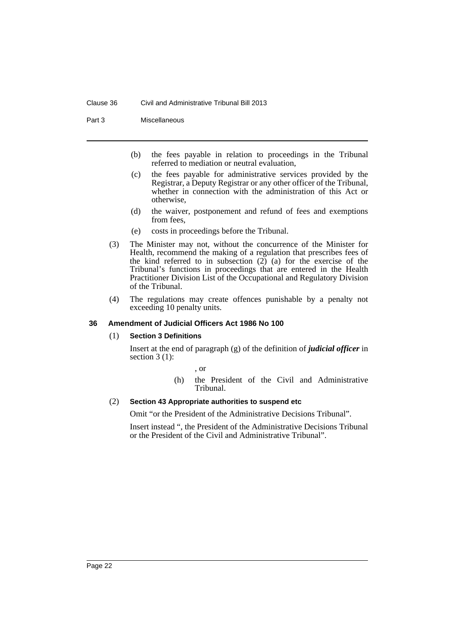#### Clause 36 Civil and Administrative Tribunal Bill 2013

Part 3 Miscellaneous

- (b) the fees payable in relation to proceedings in the Tribunal referred to mediation or neutral evaluation,
- (c) the fees payable for administrative services provided by the Registrar, a Deputy Registrar or any other officer of the Tribunal, whether in connection with the administration of this Act or otherwise,
- (d) the waiver, postponement and refund of fees and exemptions from fees,
- (e) costs in proceedings before the Tribunal.
- (3) The Minister may not, without the concurrence of the Minister for Health, recommend the making of a regulation that prescribes fees of the kind referred to in subsection  $(2)$  (a) for the exercise of the Tribunal's functions in proceedings that are entered in the Health Practitioner Division List of the Occupational and Regulatory Division of the Tribunal.
- (4) The regulations may create offences punishable by a penalty not exceeding 10 penalty units.

## <span id="page-25-0"></span>**36 Amendment of Judicial Officers Act 1986 No 100**

#### (1) **Section 3 Definitions**

Insert at the end of paragraph (g) of the definition of *judicial officer* in section  $3(1)$ :

, or

(h) the President of the Civil and Administrative Tribunal.

## (2) **Section 43 Appropriate authorities to suspend etc**

Omit "or the President of the Administrative Decisions Tribunal".

Insert instead ", the President of the Administrative Decisions Tribunal or the President of the Civil and Administrative Tribunal".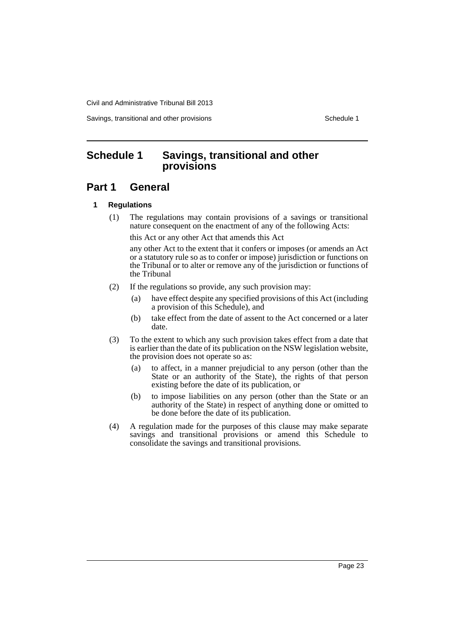Savings, transitional and other provisions Schedule 1 and the schedule 1

## <span id="page-26-0"></span>**Schedule 1 Savings, transitional and other provisions**

## **Part 1 General**

## **1 Regulations**

(1) The regulations may contain provisions of a savings or transitional nature consequent on the enactment of any of the following Acts:

this Act or any other Act that amends this Act

any other Act to the extent that it confers or imposes (or amends an Act or a statutory rule so as to confer or impose) jurisdiction or functions on the Tribunal or to alter or remove any of the jurisdiction or functions of the Tribunal

- (2) If the regulations so provide, any such provision may:
	- (a) have effect despite any specified provisions of this Act (including a provision of this Schedule), and
	- (b) take effect from the date of assent to the Act concerned or a later date.
- (3) To the extent to which any such provision takes effect from a date that is earlier than the date of its publication on the NSW legislation website, the provision does not operate so as:
	- (a) to affect, in a manner prejudicial to any person (other than the State or an authority of the State), the rights of that person existing before the date of its publication, or
	- (b) to impose liabilities on any person (other than the State or an authority of the State) in respect of anything done or omitted to be done before the date of its publication.
- (4) A regulation made for the purposes of this clause may make separate savings and transitional provisions or amend this Schedule to consolidate the savings and transitional provisions.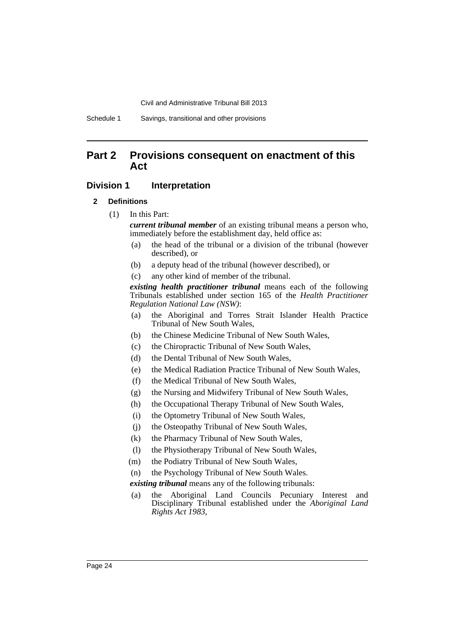## **Part 2 Provisions consequent on enactment of this Act**

## **Division 1** Interpretation

#### **2 Definitions**

(1) In this Part:

*current tribunal member* of an existing tribunal means a person who, immediately before the establishment day, held office as:

- (a) the head of the tribunal or a division of the tribunal (however described), or
- (b) a deputy head of the tribunal (however described), or
- (c) any other kind of member of the tribunal.

*existing health practitioner tribunal* means each of the following Tribunals established under section 165 of the *Health Practitioner Regulation National Law (NSW)*:

- (a) the Aboriginal and Torres Strait Islander Health Practice Tribunal of New South Wales,
- (b) the Chinese Medicine Tribunal of New South Wales,
- (c) the Chiropractic Tribunal of New South Wales,
- (d) the Dental Tribunal of New South Wales,
- (e) the Medical Radiation Practice Tribunal of New South Wales,
- (f) the Medical Tribunal of New South Wales,
- (g) the Nursing and Midwifery Tribunal of New South Wales,
- (h) the Occupational Therapy Tribunal of New South Wales,
- (i) the Optometry Tribunal of New South Wales,
- (j) the Osteopathy Tribunal of New South Wales,
- (k) the Pharmacy Tribunal of New South Wales,
- (l) the Physiotherapy Tribunal of New South Wales,
- (m) the Podiatry Tribunal of New South Wales,
- (n) the Psychology Tribunal of New South Wales.

*existing tribunal* means any of the following tribunals:

(a) the Aboriginal Land Councils Pecuniary Interest and Disciplinary Tribunal established under the *Aboriginal Land Rights Act 1983*,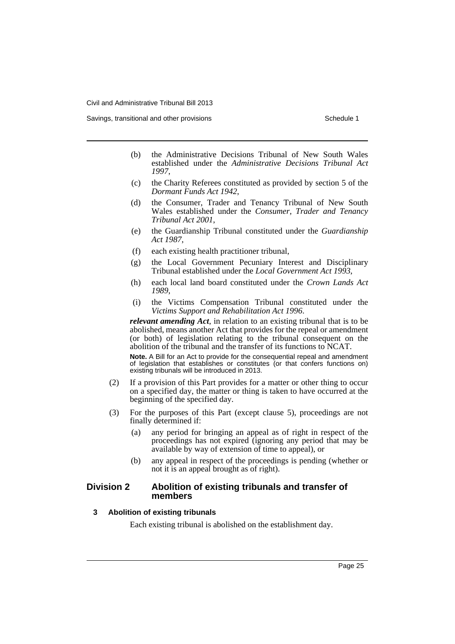- (b) the Administrative Decisions Tribunal of New South Wales established under the *Administrative Decisions Tribunal Act 1997*,
- (c) the Charity Referees constituted as provided by section 5 of the *Dormant Funds Act 1942*,
- (d) the Consumer, Trader and Tenancy Tribunal of New South Wales established under the *Consumer, Trader and Tenancy Tribunal Act 2001*,
- (e) the Guardianship Tribunal constituted under the *Guardianship Act 1987*,
- (f) each existing health practitioner tribunal,
- (g) the Local Government Pecuniary Interest and Disciplinary Tribunal established under the *Local Government Act 1993*,
- (h) each local land board constituted under the *Crown Lands Act 1989*,
- (i) the Victims Compensation Tribunal constituted under the *Victims Support and Rehabilitation Act 1996*.

*relevant amending Act*, in relation to an existing tribunal that is to be abolished, means another Act that provides for the repeal or amendment (or both) of legislation relating to the tribunal consequent on the abolition of the tribunal and the transfer of its functions to NCAT.

**Note.** A Bill for an Act to provide for the consequential repeal and amendment of legislation that establishes or constitutes (or that confers functions on) existing tribunals will be introduced in 2013.

- (2) If a provision of this Part provides for a matter or other thing to occur on a specified day, the matter or thing is taken to have occurred at the beginning of the specified day.
- (3) For the purposes of this Part (except clause 5), proceedings are not finally determined if:
	- (a) any period for bringing an appeal as of right in respect of the proceedings has not expired (ignoring any period that may be available by way of extension of time to appeal), or
	- (b) any appeal in respect of the proceedings is pending (whether or not it is an appeal brought as of right).

## **Division 2 Abolition of existing tribunals and transfer of members**

## **3 Abolition of existing tribunals**

Each existing tribunal is abolished on the establishment day.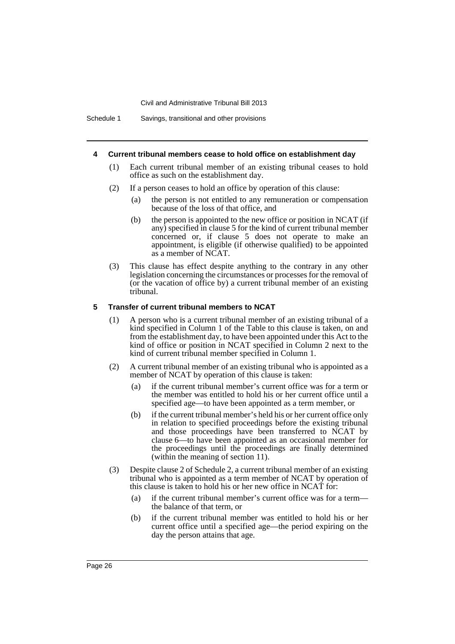Schedule 1 Savings, transitional and other provisions

#### **4 Current tribunal members cease to hold office on establishment day**

- (1) Each current tribunal member of an existing tribunal ceases to hold office as such on the establishment day.
- (2) If a person ceases to hold an office by operation of this clause:
	- (a) the person is not entitled to any remuneration or compensation because of the loss of that office, and
	- (b) the person is appointed to the new office or position in NCAT (if any) specified in clause 5 for the kind of current tribunal member concerned or, if clause 5 does not operate to make an appointment, is eligible (if otherwise qualified) to be appointed as a member of NCAT.
- (3) This clause has effect despite anything to the contrary in any other legislation concerning the circumstances or processes for the removal of (or the vacation of office by) a current tribunal member of an existing tribunal.

## **5 Transfer of current tribunal members to NCAT**

- (1) A person who is a current tribunal member of an existing tribunal of a kind specified in Column 1 of the Table to this clause is taken, on and from the establishment day, to have been appointed under this Act to the kind of office or position in NCAT specified in Column 2 next to the kind of current tribunal member specified in Column 1.
- (2) A current tribunal member of an existing tribunal who is appointed as a member of NCAT by operation of this clause is taken:
	- (a) if the current tribunal member's current office was for a term or the member was entitled to hold his or her current office until a specified age—to have been appointed as a term member, or
	- (b) if the current tribunal member's held his or her current office only in relation to specified proceedings before the existing tribunal and those proceedings have been transferred to NCAT by clause 6—to have been appointed as an occasional member for the proceedings until the proceedings are finally determined (within the meaning of section 11).
- (3) Despite clause 2 of Schedule 2, a current tribunal member of an existing tribunal who is appointed as a term member of NCAT by operation of this clause is taken to hold his or her new office in NCAT for:
	- (a) if the current tribunal member's current office was for a term the balance of that term, or
	- (b) if the current tribunal member was entitled to hold his or her current office until a specified age—the period expiring on the day the person attains that age.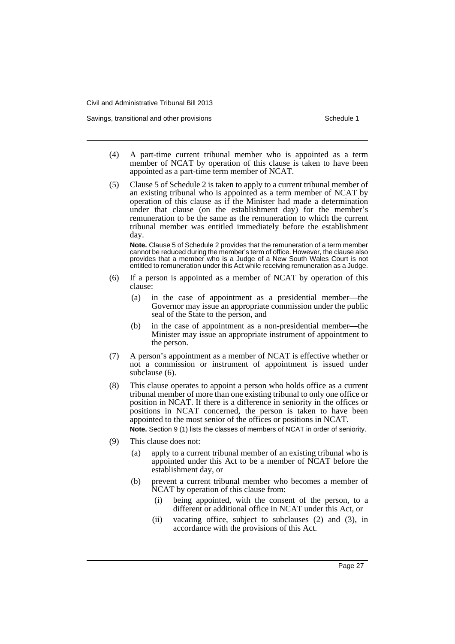Savings, transitional and other provisions Schedule 1 and the state of the state of the Schedule 1

- (4) A part-time current tribunal member who is appointed as a term member of NCAT by operation of this clause is taken to have been appointed as a part-time term member of NCAT.
- (5) Clause 5 of Schedule 2 is taken to apply to a current tribunal member of an existing tribunal who is appointed as a term member of NCAT by operation of this clause as if the Minister had made a determination under that clause (on the establishment day) for the member's remuneration to be the same as the remuneration to which the current tribunal member was entitled immediately before the establishment day.

**Note.** Clause 5 of Schedule 2 provides that the remuneration of a term member cannot be reduced during the member's term of office. However, the clause also provides that a member who is a Judge of a New South Wales Court is not entitled to remuneration under this Act while receiving remuneration as a Judge.

- (6) If a person is appointed as a member of NCAT by operation of this clause:
	- (a) in the case of appointment as a presidential member—the Governor may issue an appropriate commission under the public seal of the State to the person, and
	- (b) in the case of appointment as a non-presidential member—the Minister may issue an appropriate instrument of appointment to the person.
- (7) A person's appointment as a member of NCAT is effective whether or not a commission or instrument of appointment is issued under subclause (6).
- (8) This clause operates to appoint a person who holds office as a current tribunal member of more than one existing tribunal to only one office or position in NCAT. If there is a difference in seniority in the offices or positions in NCAT concerned, the person is taken to have been appointed to the most senior of the offices or positions in NCAT.

**Note.** Section 9 (1) lists the classes of members of NCAT in order of seniority.

- (9) This clause does not:
	- (a) apply to a current tribunal member of an existing tribunal who is appointed under this Act to be a member of NCAT before the establishment day, or
	- (b) prevent a current tribunal member who becomes a member of NCAT by operation of this clause from:
		- (i) being appointed, with the consent of the person, to a different or additional office in NCAT under this Act, or
		- (ii) vacating office, subject to subclauses (2) and (3), in accordance with the provisions of this Act.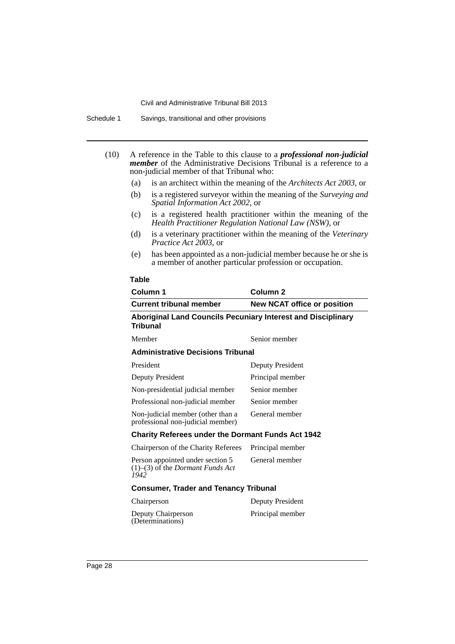- (10) A reference in the Table to this clause to a *professional non-judicial member* of the Administrative Decisions Tribunal is a reference to a non-judicial member of that Tribunal who:
	- (a) is an architect within the meaning of the *Architects Act 2003*, or
	- (b) is a registered surveyor within the meaning of the *Surveying and Spatial Information Act 2002*, or
	- (c) is a registered health practitioner within the meaning of the *Health Practitioner Regulation National Law (NSW)*, or
	- (d) is a veterinary practitioner within the meaning of the *Veterinary Practice Act 2003*, or
	- (e) has been appointed as a non-judicial member because he or she is a member of another particular profession or occupation.

#### **Table**

| Column 1                                                                                  | Column <sub>2</sub>                |  |  |  |
|-------------------------------------------------------------------------------------------|------------------------------------|--|--|--|
| <b>Current tribunal member</b>                                                            | <b>New NCAT office or position</b> |  |  |  |
| <b>Aboriginal Land Councils Pecuniary Interest and Disciplinary</b><br>Tribunal           |                                    |  |  |  |
| Member                                                                                    | Senior member                      |  |  |  |
| <b>Administrative Decisions Tribunal</b>                                                  |                                    |  |  |  |
| President                                                                                 | Deputy President                   |  |  |  |
| Deputy President                                                                          | Principal member                   |  |  |  |
| Non-presidential judicial member                                                          | Senior member                      |  |  |  |
| Professional non-judicial member                                                          | Senior member                      |  |  |  |
| Non-judicial member (other than a<br>professional non-judicial member)                    | General member                     |  |  |  |
| <b>Charity Referees under the Dormant Funds Act 1942</b>                                  |                                    |  |  |  |
| Chairperson of the Charity Referees                                                       | Principal member                   |  |  |  |
| Person appointed under section 5<br>$(1)$ – $(3)$ of the <i>Dormant Funds Act</i><br>1942 | General member                     |  |  |  |
| <b>Consumer, Trader and Tenancy Tribunal</b>                                              |                                    |  |  |  |
| Chairperson                                                                               | Deputy President                   |  |  |  |
| Deputy Chairperson<br>(Determinations)                                                    | Principal member                   |  |  |  |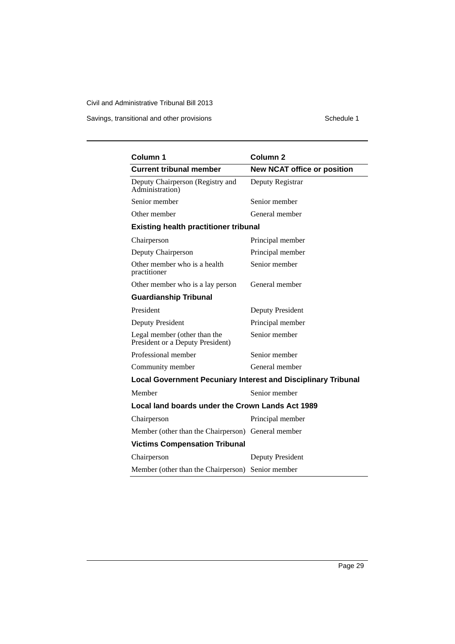Savings, transitional and other provisions Schedule 1

| Column 1                                                             | Column <sub>2</sub>                |  |  |  |
|----------------------------------------------------------------------|------------------------------------|--|--|--|
| <b>Current tribunal member</b>                                       | <b>New NCAT office or position</b> |  |  |  |
| Deputy Chairperson (Registry and<br>Administration)                  | Deputy Registrar                   |  |  |  |
| Senior member                                                        | Senior member                      |  |  |  |
| Other member                                                         | General member                     |  |  |  |
| <b>Existing health practitioner tribunal</b>                         |                                    |  |  |  |
| Chairperson                                                          | Principal member                   |  |  |  |
| Deputy Chairperson                                                   | Principal member                   |  |  |  |
| Other member who is a health<br>practitioner                         | Senior member                      |  |  |  |
| Other member who is a lay person                                     | General member                     |  |  |  |
| <b>Guardianship Tribunal</b>                                         |                                    |  |  |  |
| President                                                            | <b>Deputy President</b>            |  |  |  |
| Deputy President                                                     | Principal member                   |  |  |  |
| Legal member (other than the<br>President or a Deputy President)     | Senior member                      |  |  |  |
| Professional member                                                  | Senior member                      |  |  |  |
| Community member                                                     | General member                     |  |  |  |
| <b>Local Government Pecuniary Interest and Disciplinary Tribunal</b> |                                    |  |  |  |
| Member                                                               | Senior member                      |  |  |  |
| Local land boards under the Crown Lands Act 1989                     |                                    |  |  |  |
| Chairperson                                                          | Principal member                   |  |  |  |
| Member (other than the Chairperson) General member                   |                                    |  |  |  |
| <b>Victims Compensation Tribunal</b>                                 |                                    |  |  |  |
| Chairperson                                                          | Deputy President                   |  |  |  |
| Member (other than the Chairperson) Senior member                    |                                    |  |  |  |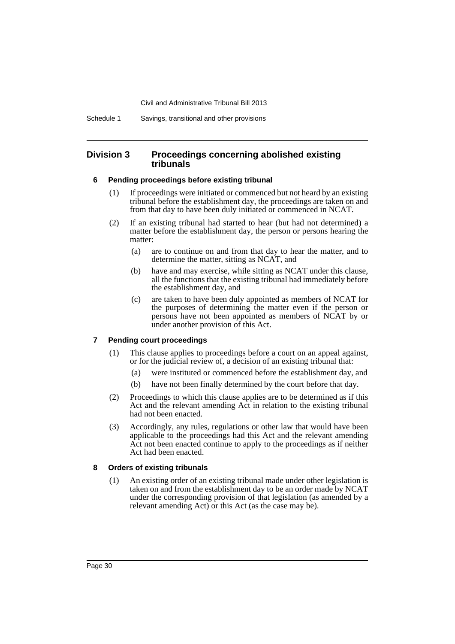Schedule 1 Savings, transitional and other provisions

## **Division 3 Proceedings concerning abolished existing tribunals**

## **6 Pending proceedings before existing tribunal**

- (1) If proceedings were initiated or commenced but not heard by an existing tribunal before the establishment day, the proceedings are taken on and from that day to have been duly initiated or commenced in NCAT.
- (2) If an existing tribunal had started to hear (but had not determined) a matter before the establishment day, the person or persons hearing the matter:
	- (a) are to continue on and from that day to hear the matter, and to determine the matter, sitting as NCAT, and
	- (b) have and may exercise, while sitting as NCAT under this clause, all the functions that the existing tribunal had immediately before the establishment day, and
	- (c) are taken to have been duly appointed as members of NCAT for the purposes of determining the matter even if the person or persons have not been appointed as members of NCAT by or under another provision of this Act.

## **7 Pending court proceedings**

- (1) This clause applies to proceedings before a court on an appeal against, or for the judicial review of, a decision of an existing tribunal that:
	- (a) were instituted or commenced before the establishment day, and
	- (b) have not been finally determined by the court before that day.
- (2) Proceedings to which this clause applies are to be determined as if this Act and the relevant amending Act in relation to the existing tribunal had not been enacted.
- (3) Accordingly, any rules, regulations or other law that would have been applicable to the proceedings had this Act and the relevant amending Act not been enacted continue to apply to the proceedings as if neither Act had been enacted.

## **8 Orders of existing tribunals**

(1) An existing order of an existing tribunal made under other legislation is taken on and from the establishment day to be an order made by NCAT under the corresponding provision of that legislation (as amended by a relevant amending Act) or this Act (as the case may be).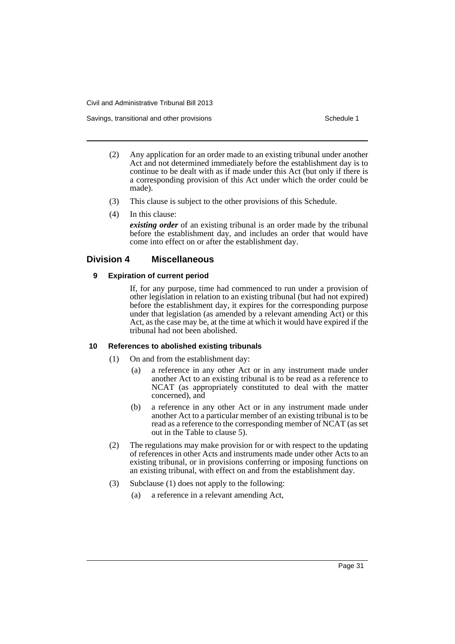- (2) Any application for an order made to an existing tribunal under another Act and not determined immediately before the establishment day is to continue to be dealt with as if made under this Act (but only if there is a corresponding provision of this Act under which the order could be made).
- (3) This clause is subject to the other provisions of this Schedule.
- (4) In this clause:

*existing order* of an existing tribunal is an order made by the tribunal before the establishment day, and includes an order that would have come into effect on or after the establishment day.

## **Division 4 Miscellaneous**

## **9 Expiration of current period**

If, for any purpose, time had commenced to run under a provision of other legislation in relation to an existing tribunal (but had not expired) before the establishment day, it expires for the corresponding purpose under that legislation (as amended by a relevant amending Act) or this Act, as the case may be, at the time at which it would have expired if the tribunal had not been abolished.

## **10 References to abolished existing tribunals**

- (1) On and from the establishment day:
	- (a) a reference in any other Act or in any instrument made under another Act to an existing tribunal is to be read as a reference to NCAT (as appropriately constituted to deal with the matter concerned), and
	- (b) a reference in any other Act or in any instrument made under another Act to a particular member of an existing tribunal is to be read as a reference to the corresponding member of NCAT (as set out in the Table to clause 5).
- (2) The regulations may make provision for or with respect to the updating of references in other Acts and instruments made under other Acts to an existing tribunal, or in provisions conferring or imposing functions on an existing tribunal, with effect on and from the establishment day.
- (3) Subclause (1) does not apply to the following:
	- (a) a reference in a relevant amending Act,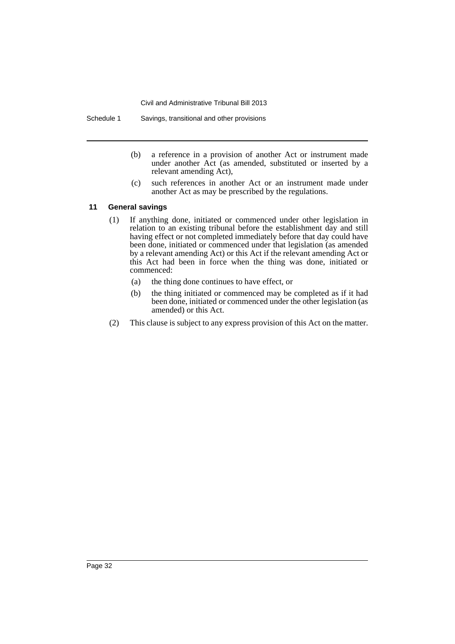Schedule 1 Savings, transitional and other provisions

- (b) a reference in a provision of another Act or instrument made under another Act (as amended, substituted or inserted by a relevant amending Act),
- (c) such references in another Act or an instrument made under another Act as may be prescribed by the regulations.

## **11 General savings**

- (1) If anything done, initiated or commenced under other legislation in relation to an existing tribunal before the establishment day and still having effect or not completed immediately before that day could have been done, initiated or commenced under that legislation (as amended by a relevant amending Act) or this Act if the relevant amending Act or this Act had been in force when the thing was done, initiated or commenced:
	- (a) the thing done continues to have effect, or
	- (b) the thing initiated or commenced may be completed as if it had been done, initiated or commenced under the other legislation (as amended) or this Act.
- (2) This clause is subject to any express provision of this Act on the matter.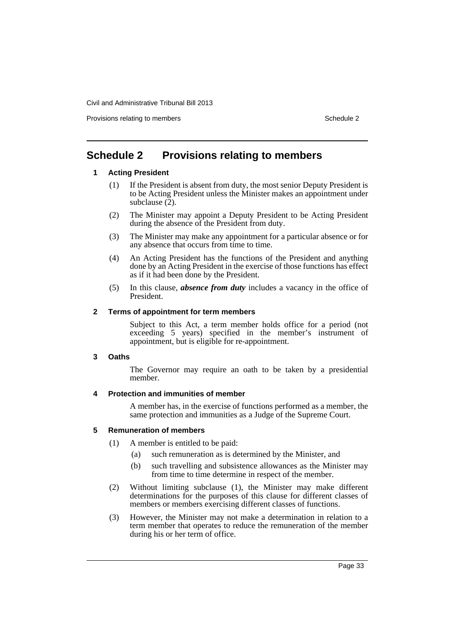Provisions relating to members Schedule 2 and the state of the Schedule 2 and Schedule 2

## <span id="page-36-0"></span>**Schedule 2 Provisions relating to members**

## **1 Acting President**

- (1) If the President is absent from duty, the most senior Deputy President is to be Acting President unless the Minister makes an appointment under subclause (2).
- (2) The Minister may appoint a Deputy President to be Acting President during the absence of the President from duty.
- (3) The Minister may make any appointment for a particular absence or for any absence that occurs from time to time.
- (4) An Acting President has the functions of the President and anything done by an Acting President in the exercise of those functions has effect as if it had been done by the President.
- (5) In this clause, *absence from duty* includes a vacancy in the office of President.

## **2 Terms of appointment for term members**

Subject to this Act, a term member holds office for a period (not exceeding 5 years) specified in the member's instrument of appointment, but is eligible for re-appointment.

## **3 Oaths**

The Governor may require an oath to be taken by a presidential member.

## **4 Protection and immunities of member**

A member has, in the exercise of functions performed as a member, the same protection and immunities as a Judge of the Supreme Court.

## **5 Remuneration of members**

- (1) A member is entitled to be paid:
	- (a) such remuneration as is determined by the Minister, and
	- (b) such travelling and subsistence allowances as the Minister may from time to time determine in respect of the member.
- (2) Without limiting subclause (1), the Minister may make different determinations for the purposes of this clause for different classes of members or members exercising different classes of functions.
- (3) However, the Minister may not make a determination in relation to a term member that operates to reduce the remuneration of the member during his or her term of office.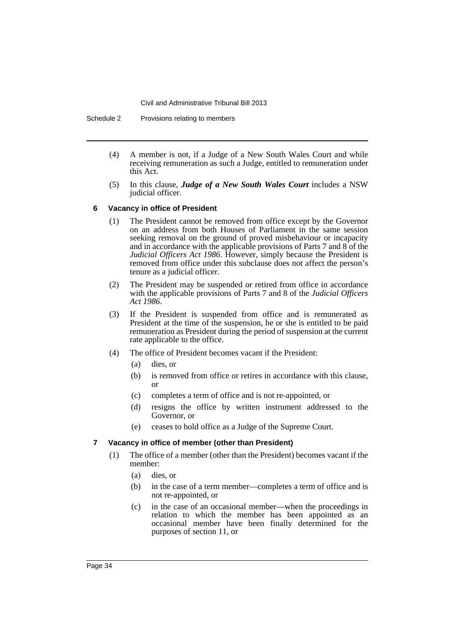Schedule 2 Provisions relating to members

- (4) A member is not, if a Judge of a New South Wales Court and while receiving remuneration as such a Judge, entitled to remuneration under this Act.
- (5) In this clause, *Judge of a New South Wales Court* includes a NSW judicial officer.

#### **6 Vacancy in office of President**

- (1) The President cannot be removed from office except by the Governor on an address from both Houses of Parliament in the same session seeking removal on the ground of proved misbehaviour or incapacity and in accordance with the applicable provisions of Parts 7 and 8 of the *Judicial Officers Act 1986*. However, simply because the President is removed from office under this subclause does not affect the person's tenure as a judicial officer.
- (2) The President may be suspended or retired from office in accordance with the applicable provisions of Parts 7 and 8 of the *Judicial Officers Act 1986*.
- (3) If the President is suspended from office and is remunerated as President at the time of the suspension, he or she is entitled to be paid remuneration as President during the period of suspension at the current rate applicable to the office.
- (4) The office of President becomes vacant if the President:
	- (a) dies, or
	- (b) is removed from office or retires in accordance with this clause, or
	- (c) completes a term of office and is not re-appointed, or
	- (d) resigns the office by written instrument addressed to the Governor, or
	- (e) ceases to hold office as a Judge of the Supreme Court.

## **7 Vacancy in office of member (other than President)**

- (1) The office of a member (other than the President) becomes vacant if the member:
	- (a) dies, or
	- (b) in the case of a term member—completes a term of office and is not re-appointed, or
	- (c) in the case of an occasional member—when the proceedings in relation to which the member has been appointed as an occasional member have been finally determined for the purposes of section 11, or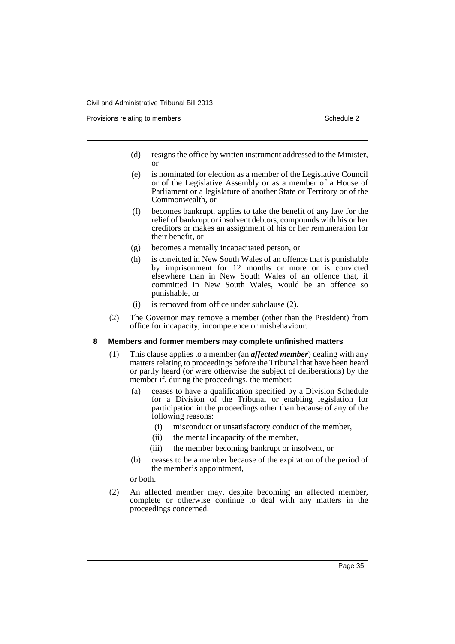Provisions relating to members **Schedule 2** and the set of the Schedule 2

- (d) resigns the office by written instrument addressed to the Minister, or
- (e) is nominated for election as a member of the Legislative Council or of the Legislative Assembly or as a member of a House of Parliament or a legislature of another State or Territory or of the Commonwealth, or
- (f) becomes bankrupt, applies to take the benefit of any law for the relief of bankrupt or insolvent debtors, compounds with his or her creditors or makes an assignment of his or her remuneration for their benefit, or
- (g) becomes a mentally incapacitated person, or
- (h) is convicted in New South Wales of an offence that is punishable by imprisonment for 12 months or more or is convicted elsewhere than in New South Wales of an offence that, if committed in New South Wales, would be an offence so punishable, or
- (i) is removed from office under subclause (2).
- (2) The Governor may remove a member (other than the President) from office for incapacity, incompetence or misbehaviour.

## **8 Members and former members may complete unfinished matters**

- (1) This clause applies to a member (an *affected member*) dealing with any matters relating to proceedings before the Tribunal that have been heard or partly heard (or were otherwise the subject of deliberations) by the member if, during the proceedings, the member:
	- (a) ceases to have a qualification specified by a Division Schedule for a Division of the Tribunal or enabling legislation for participation in the proceedings other than because of any of the following reasons:
		- (i) misconduct or unsatisfactory conduct of the member,
		- (ii) the mental incapacity of the member,
		- (iii) the member becoming bankrupt or insolvent, or
	- (b) ceases to be a member because of the expiration of the period of the member's appointment,

or both.

(2) An affected member may, despite becoming an affected member, complete or otherwise continue to deal with any matters in the proceedings concerned.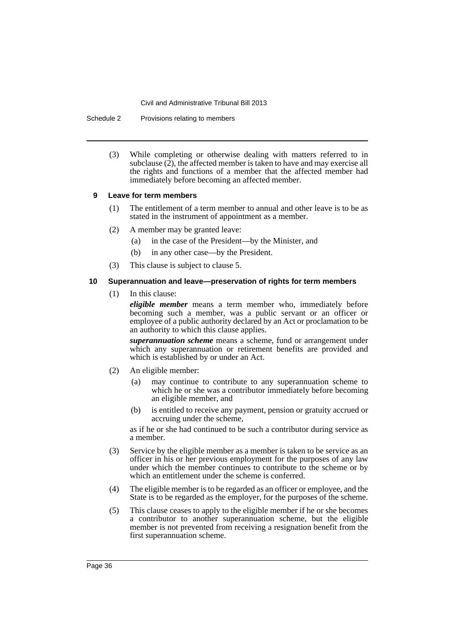Schedule 2 Provisions relating to members

(3) While completing or otherwise dealing with matters referred to in subclause  $(2)$ , the affected member is taken to have and may exercise all the rights and functions of a member that the affected member had immediately before becoming an affected member.

#### **9 Leave for term members**

- (1) The entitlement of a term member to annual and other leave is to be as stated in the instrument of appointment as a member.
- (2) A member may be granted leave:
	- (a) in the case of the President—by the Minister, and
	- (b) in any other case—by the President.
- (3) This clause is subject to clause 5.

### **10 Superannuation and leave—preservation of rights for term members**

(1) In this clause:

*eligible member* means a term member who, immediately before becoming such a member, was a public servant or an officer or employee of a public authority declared by an Act or proclamation to be an authority to which this clause applies.

*superannuation scheme* means a scheme, fund or arrangement under which any superannuation or retirement benefits are provided and which is established by or under an Act.

- (2) An eligible member:
	- (a) may continue to contribute to any superannuation scheme to which he or she was a contributor immediately before becoming an eligible member, and
	- (b) is entitled to receive any payment, pension or gratuity accrued or accruing under the scheme,

as if he or she had continued to be such a contributor during service as a member.

- (3) Service by the eligible member as a member is taken to be service as an officer in his or her previous employment for the purposes of any law under which the member continues to contribute to the scheme or by which an entitlement under the scheme is conferred.
- (4) The eligible member is to be regarded as an officer or employee, and the State is to be regarded as the employer, for the purposes of the scheme.
- (5) This clause ceases to apply to the eligible member if he or she becomes a contributor to another superannuation scheme, but the eligible member is not prevented from receiving a resignation benefit from the first superannuation scheme.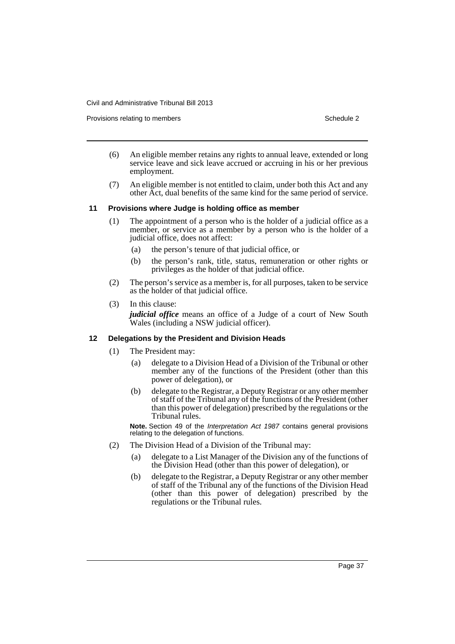Provisions relating to members **Schedule 2** and the set of the Schedule 2

- (6) An eligible member retains any rights to annual leave, extended or long service leave and sick leave accrued or accruing in his or her previous employment.
- (7) An eligible member is not entitled to claim, under both this Act and any other Act, dual benefits of the same kind for the same period of service.

#### **11 Provisions where Judge is holding office as member**

- (1) The appointment of a person who is the holder of a judicial office as a member, or service as a member by a person who is the holder of a judicial office, does not affect:
	- (a) the person's tenure of that judicial office, or
	- (b) the person's rank, title, status, remuneration or other rights or privileges as the holder of that judicial office.
- (2) The person's service as a member is, for all purposes, taken to be service as the holder of that judicial office.
- (3) In this clause: *judicial office* means an office of a Judge of a court of New South Wales (including a NSW judicial officer).

## **12 Delegations by the President and Division Heads**

- (1) The President may:
	- (a) delegate to a Division Head of a Division of the Tribunal or other member any of the functions of the President (other than this power of delegation), or
	- (b) delegate to the Registrar, a Deputy Registrar or any other member of staff of the Tribunal any of the functions of the President (other than this power of delegation) prescribed by the regulations or the Tribunal rules.

**Note.** Section 49 of the *Interpretation Act 1987* contains general provisions relating to the delegation of functions.

- (2) The Division Head of a Division of the Tribunal may:
	- (a) delegate to a List Manager of the Division any of the functions of the Division Head (other than this power of delegation), or
	- (b) delegate to the Registrar, a Deputy Registrar or any other member of staff of the Tribunal any of the functions of the Division Head (other than this power of delegation) prescribed by the regulations or the Tribunal rules.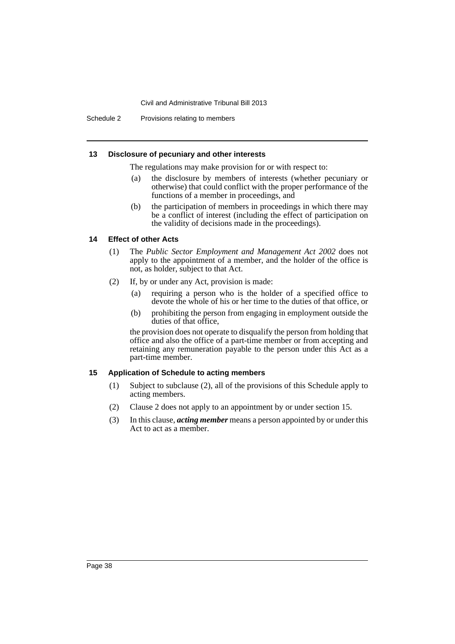Schedule 2 Provisions relating to members

### **13 Disclosure of pecuniary and other interests**

The regulations may make provision for or with respect to:

- (a) the disclosure by members of interests (whether pecuniary or otherwise) that could conflict with the proper performance of the functions of a member in proceedings, and
- (b) the participation of members in proceedings in which there may be a conflict of interest (including the effect of participation on the validity of decisions made in the proceedings).

## **14 Effect of other Acts**

- (1) The *Public Sector Employment and Management Act 2002* does not apply to the appointment of a member, and the holder of the office is not, as holder, subject to that Act.
- (2) If, by or under any Act, provision is made:
	- (a) requiring a person who is the holder of a specified office to devote the whole of his or her time to the duties of that office, or
	- (b) prohibiting the person from engaging in employment outside the duties of that office,

the provision does not operate to disqualify the person from holding that office and also the office of a part-time member or from accepting and retaining any remuneration payable to the person under this Act as a part-time member.

## **15 Application of Schedule to acting members**

- (1) Subject to subclause (2), all of the provisions of this Schedule apply to acting members.
- (2) Clause 2 does not apply to an appointment by or under section 15.
- (3) In this clause, *acting member* means a person appointed by or under this Act to act as a member.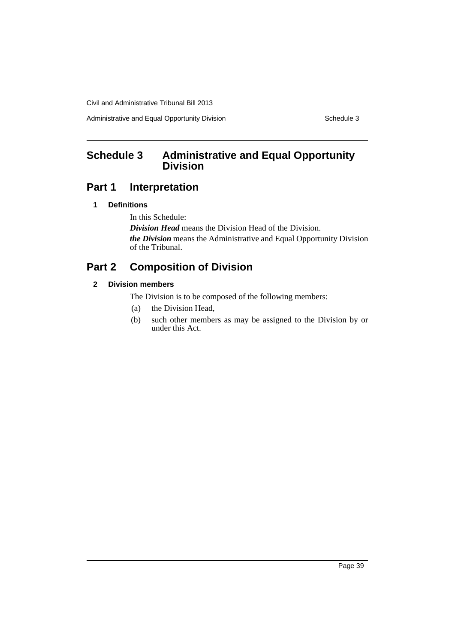Administrative and Equal Opportunity Division Schedule 3

# <span id="page-42-0"></span>**Schedule 3 Administrative and Equal Opportunity Division**

## **Part 1 Interpretation**

## **1 Definitions**

In this Schedule:

*Division Head* means the Division Head of the Division. *the Division* means the Administrative and Equal Opportunity Division of the Tribunal.

# **Part 2 Composition of Division**

## **2 Division members**

The Division is to be composed of the following members:

- (a) the Division Head,
- (b) such other members as may be assigned to the Division by or under this Act.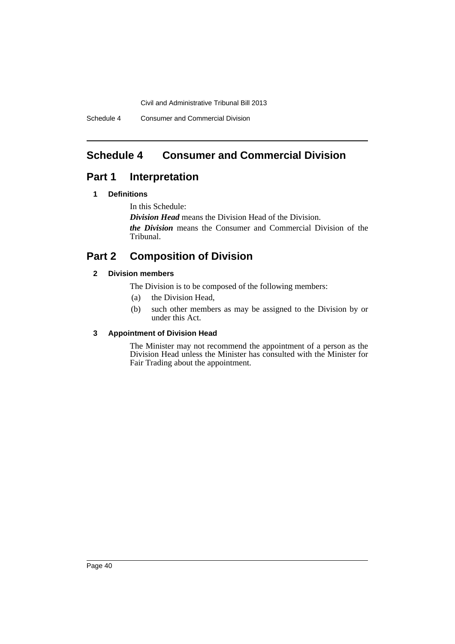Schedule 4 Consumer and Commercial Division

## <span id="page-43-0"></span>**Schedule 4 Consumer and Commercial Division**

## **Part 1 Interpretation**

## **1 Definitions**

In this Schedule:

*Division Head* means the Division Head of the Division.

*the Division* means the Consumer and Commercial Division of the Tribunal.

# **Part 2 Composition of Division**

## **2 Division members**

The Division is to be composed of the following members:

- (a) the Division Head,
- (b) such other members as may be assigned to the Division by or under this Act.

## **3 Appointment of Division Head**

The Minister may not recommend the appointment of a person as the Division Head unless the Minister has consulted with the Minister for Fair Trading about the appointment.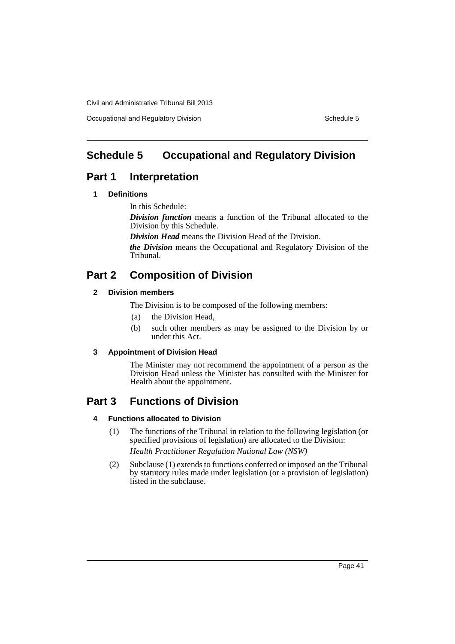Occupational and Regulatory Division Schedule 5

# <span id="page-44-0"></span>**Schedule 5 Occupational and Regulatory Division**

## **Part 1 Interpretation**

## **1 Definitions**

In this Schedule:

*Division function* means a function of the Tribunal allocated to the Division by this Schedule.

*Division Head* means the Division Head of the Division.

*the Division* means the Occupational and Regulatory Division of the Tribunal.

# **Part 2 Composition of Division**

## **2 Division members**

The Division is to be composed of the following members:

- (a) the Division Head,
- (b) such other members as may be assigned to the Division by or under this Act.

## **3 Appointment of Division Head**

The Minister may not recommend the appointment of a person as the Division Head unless the Minister has consulted with the Minister for Health about the appointment.

# **Part 3 Functions of Division**

## **4 Functions allocated to Division**

(1) The functions of the Tribunal in relation to the following legislation (or specified provisions of legislation) are allocated to the Division:

*Health Practitioner Regulation National Law (NSW)*

(2) Subclause (1) extends to functions conferred or imposed on the Tribunal by statutory rules made under legislation (or a provision of legislation) listed in the subclause.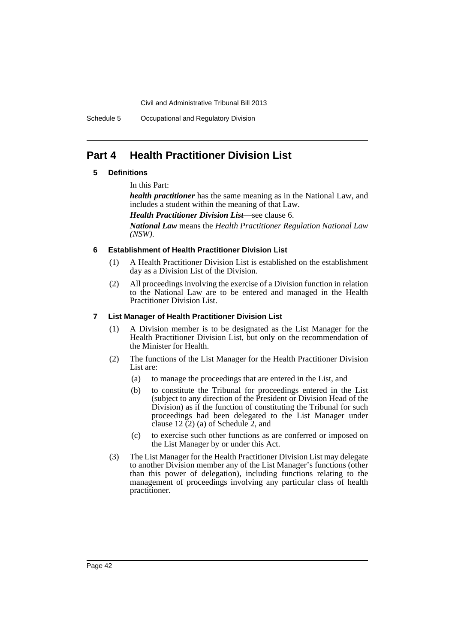Schedule 5 Occupational and Regulatory Division

## **Part 4 Health Practitioner Division List**

## **5 Definitions**

In this Part:

*health practitioner* has the same meaning as in the National Law, and includes a student within the meaning of that Law.

*Health Practitioner Division List*—see clause 6.

*National Law* means the *Health Practitioner Regulation National Law (NSW)*.

## **6 Establishment of Health Practitioner Division List**

- (1) A Health Practitioner Division List is established on the establishment day as a Division List of the Division.
- (2) All proceedings involving the exercise of a Division function in relation to the National Law are to be entered and managed in the Health Practitioner Division List.

## **7 List Manager of Health Practitioner Division List**

- (1) A Division member is to be designated as the List Manager for the Health Practitioner Division List, but only on the recommendation of the Minister for Health.
- (2) The functions of the List Manager for the Health Practitioner Division List are:
	- (a) to manage the proceedings that are entered in the List, and
	- (b) to constitute the Tribunal for proceedings entered in the List (subject to any direction of the President or Division Head of the Division) as if the function of constituting the Tribunal for such proceedings had been delegated to the List Manager under clause  $12(2)$  (a) of Schedule 2, and
	- (c) to exercise such other functions as are conferred or imposed on the List Manager by or under this Act.
- (3) The List Manager for the Health Practitioner Division List may delegate to another Division member any of the List Manager's functions (other than this power of delegation), including functions relating to the management of proceedings involving any particular class of health practitioner.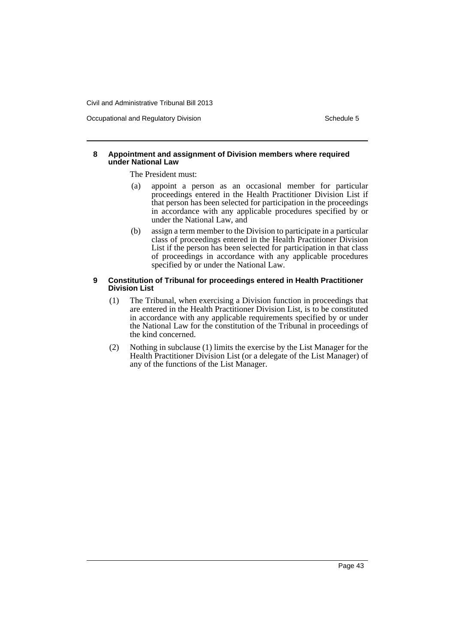Occupational and Regulatory Division Schedule 5

#### **8 Appointment and assignment of Division members where required under National Law**

The President must:

- (a) appoint a person as an occasional member for particular proceedings entered in the Health Practitioner Division List if that person has been selected for participation in the proceedings in accordance with any applicable procedures specified by or under the National Law, and
- (b) assign a term member to the Division to participate in a particular class of proceedings entered in the Health Practitioner Division List if the person has been selected for participation in that class of proceedings in accordance with any applicable procedures specified by or under the National Law.

## **9 Constitution of Tribunal for proceedings entered in Health Practitioner Division List**

- (1) The Tribunal, when exercising a Division function in proceedings that are entered in the Health Practitioner Division List, is to be constituted in accordance with any applicable requirements specified by or under the National Law for the constitution of the Tribunal in proceedings of the kind concerned.
- (2) Nothing in subclause (1) limits the exercise by the List Manager for the Health Practitioner Division List (or a delegate of the List Manager) of any of the functions of the List Manager.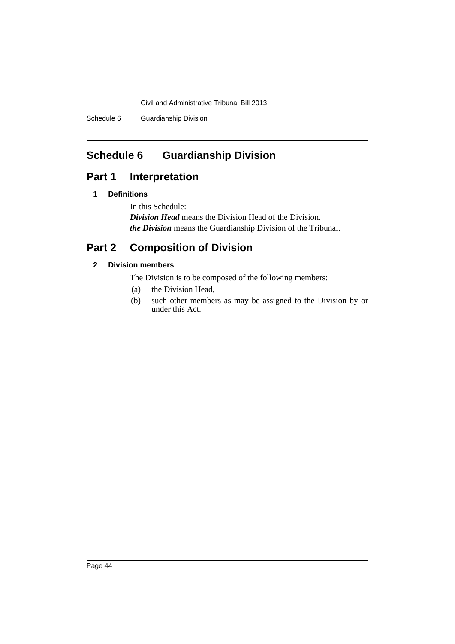Schedule 6 Guardianship Division

# <span id="page-47-0"></span>**Schedule 6 Guardianship Division**

# **Part 1 Interpretation**

## **1 Definitions**

In this Schedule: *Division Head* means the Division Head of the Division. *the Division* means the Guardianship Division of the Tribunal.

# **Part 2 Composition of Division**

## **2 Division members**

The Division is to be composed of the following members:

- (a) the Division Head,
- (b) such other members as may be assigned to the Division by or under this Act.